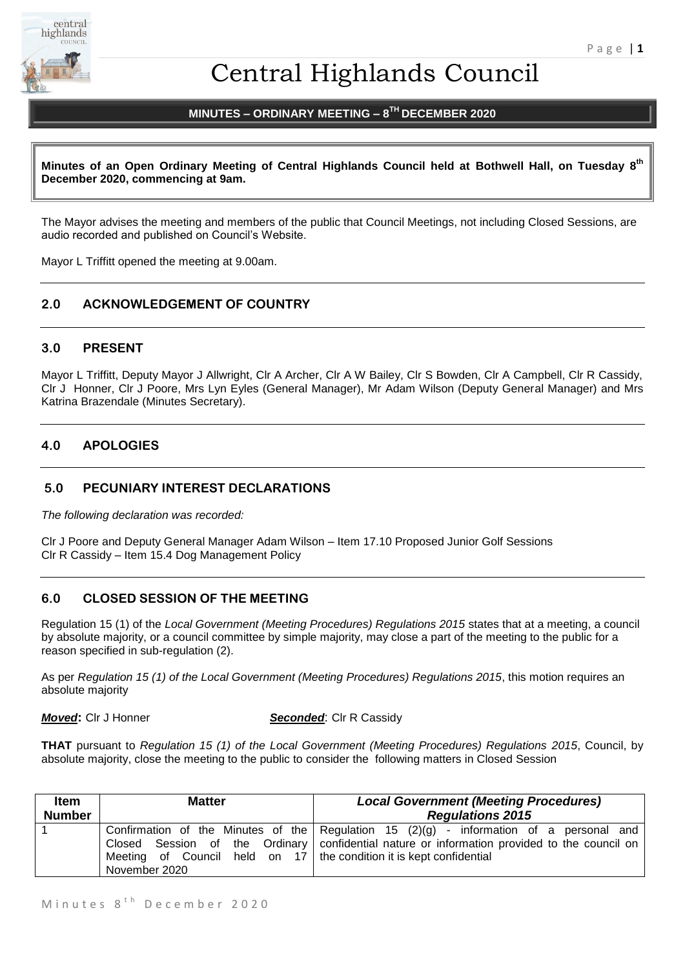

# Central Highlands Council

# **MINUTES – ORDINARY MEETING – 8 TH DECEMBER 2020**

**Minutes of an Open Ordinary Meeting of Central Highlands Council held at Bothwell Hall, on Tuesday 8 th December 2020, commencing at 9am.**

The Mayor advises the meeting and members of the public that Council Meetings, not including Closed Sessions, are audio recorded and published on Council's Website.

Mayor L Triffitt opened the meeting at 9.00am.

# **2.0 ACKNOWLEDGEMENT OF COUNTRY**

#### **3.0 PRESENT**

Mayor L Triffitt, Deputy Mayor J Allwright, Clr A Archer, Clr A W Bailey, Clr S Bowden, Clr A Campbell, Clr R Cassidy, Clr J Honner, Clr J Poore, Mrs Lyn Eyles (General Manager), Mr Adam Wilson (Deputy General Manager) and Mrs Katrina Brazendale (Minutes Secretary).

# **4.0 APOLOGIES**

#### **5.0 PECUNIARY INTEREST DECLARATIONS**

*The following declaration was recorded:* 

Clr J Poore and Deputy General Manager Adam Wilson – Item 17.10 Proposed Junior Golf Sessions Clr R Cassidy – Item 15.4 Dog Management Policy

# **6.0 CLOSED SESSION OF THE MEETING**

Regulation 15 (1) of the *Local Government (Meeting Procedures) Regulations 2015* states that at a meeting, a council by absolute majority, or a council committee by simple majority, may close a part of the meeting to the public for a reason specified in sub-regulation (2).

As per *Regulation 15 (1) of the Local Government (Meeting Procedures) Regulations 2015*, this motion requires an absolute majority

*Moved***: CIr J Honner <b>Seconded**: CIr R Cassidy

**THAT** pursuant to *Regulation 15 (1) of the Local Government (Meeting Procedures) Regulations 2015*, Council, by absolute majority, close the meeting to the public to consider the following matters in Closed Session

| <b>Item</b>   | <b>Matter</b>                                                                          | <b>Local Government (Meeting Procedures)</b>                                                                                                                                              |
|---------------|----------------------------------------------------------------------------------------|-------------------------------------------------------------------------------------------------------------------------------------------------------------------------------------------|
| <b>Number</b> |                                                                                        | <b>Regulations 2015</b>                                                                                                                                                                   |
|               | Meeting of Council held on $17$ the condition it is kept confidential<br>November 2020 | Confirmation of the Minutes of the Regulation 15 (2)(g) - information of a personal and<br>Closed Session of the Ordinary   confidential nature or information provided to the council on |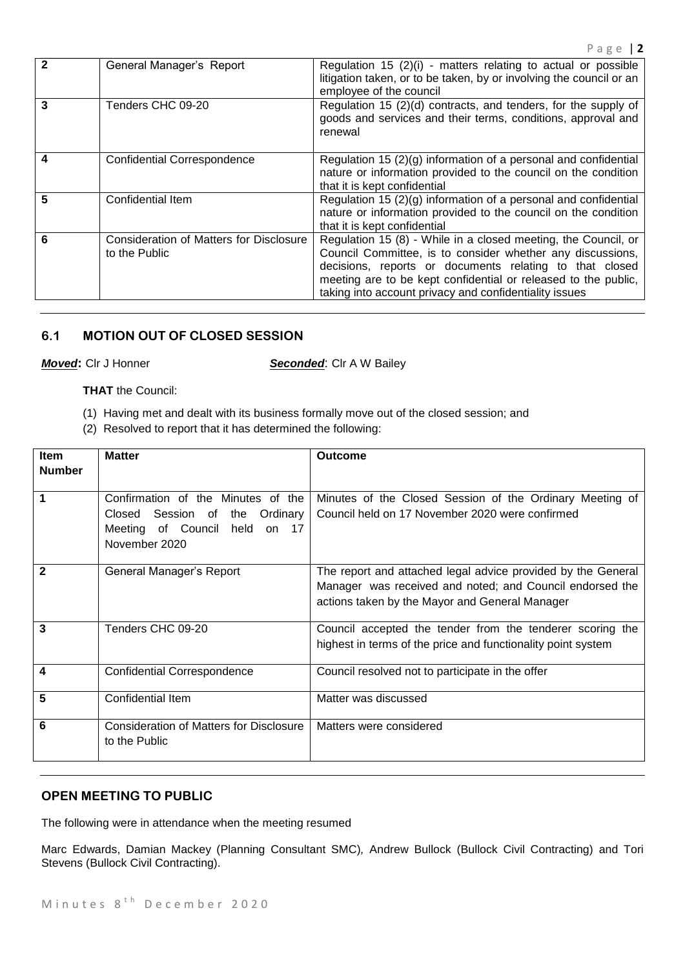|   | General Manager's Report                                        | Regulation 15 $(2)(i)$ - matters relating to actual or possible<br>litigation taken, or to be taken, by or involving the council or an<br>employee of the council                                                                                                                                                   |
|---|-----------------------------------------------------------------|---------------------------------------------------------------------------------------------------------------------------------------------------------------------------------------------------------------------------------------------------------------------------------------------------------------------|
|   | Tenders CHC 09-20                                               | Regulation 15 (2)(d) contracts, and tenders, for the supply of<br>goods and services and their terms, conditions, approval and<br>renewal                                                                                                                                                                           |
|   | <b>Confidential Correspondence</b>                              | Regulation 15 $(2)(g)$ information of a personal and confidential<br>nature or information provided to the council on the condition<br>that it is kept confidential                                                                                                                                                 |
| 5 | Confidential Item                                               | Regulation 15 (2)(g) information of a personal and confidential<br>nature or information provided to the council on the condition<br>that it is kept confidential                                                                                                                                                   |
|   | <b>Consideration of Matters for Disclosure</b><br>to the Public | Regulation 15 (8) - While in a closed meeting, the Council, or<br>Council Committee, is to consider whether any discussions,<br>decisions, reports or documents relating to that closed<br>meeting are to be kept confidential or released to the public,<br>taking into account privacy and confidentiality issues |

# **6.1 MOTION OUT OF CLOSED SESSION**

**Moved:** Clr J Honner **Seconded:** Clr A W Bailey

#### **THAT** the Council:

- (1) Having met and dealt with its business formally move out of the closed session; and
- (2) Resolved to report that it has determined the following:

| <b>Item</b><br><b>Number</b> | <b>Matter</b>                                                                                                                      | Outcome                                                                                                                                                                    |
|------------------------------|------------------------------------------------------------------------------------------------------------------------------------|----------------------------------------------------------------------------------------------------------------------------------------------------------------------------|
|                              | Confirmation of the Minutes of the<br>the<br>Ordinary<br>Closed Session of<br>Meeting of Council<br>held<br>on 17<br>November 2020 | Minutes of the Closed Session of the Ordinary Meeting of<br>Council held on 17 November 2020 were confirmed                                                                |
| 2                            | General Manager's Report                                                                                                           | The report and attached legal advice provided by the General<br>Manager was received and noted; and Council endorsed the<br>actions taken by the Mayor and General Manager |
| 3                            | Tenders CHC 09-20                                                                                                                  | Council accepted the tender from the tenderer scoring the<br>highest in terms of the price and functionality point system                                                  |
| 4                            | <b>Confidential Correspondence</b>                                                                                                 | Council resolved not to participate in the offer                                                                                                                           |
| 5                            | Confidential Item                                                                                                                  | Matter was discussed                                                                                                                                                       |
| 6                            | <b>Consideration of Matters for Disclosure</b><br>to the Public                                                                    | Matters were considered                                                                                                                                                    |

# **OPEN MEETING TO PUBLIC**

The following were in attendance when the meeting resumed

Marc Edwards, Damian Mackey (Planning Consultant SMC)*,* Andrew Bullock (Bullock Civil Contracting) and Tori Stevens (Bullock Civil Contracting).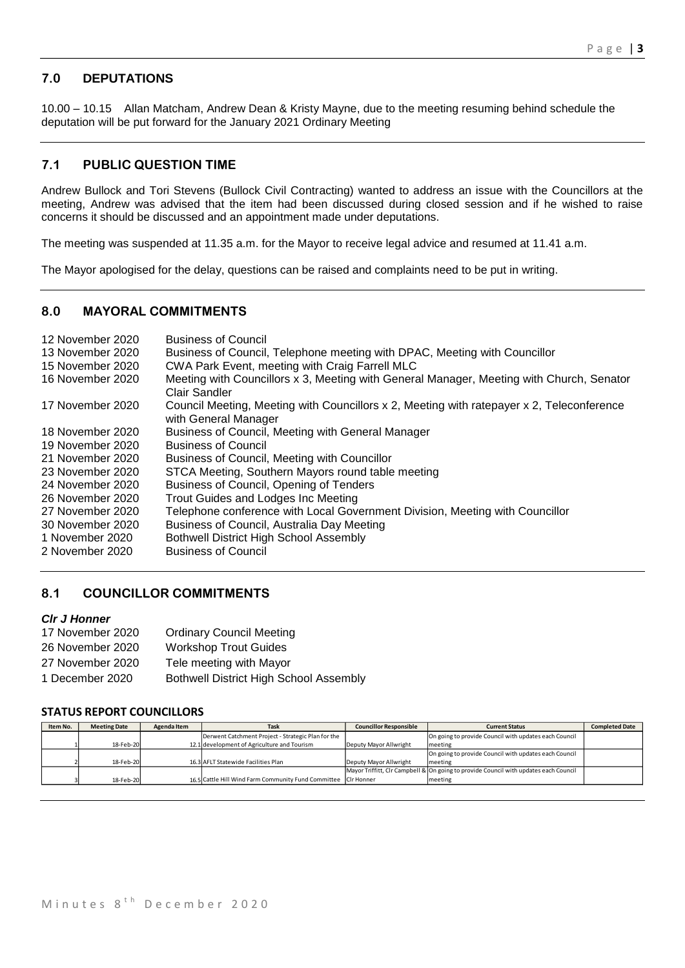# **7.0 DEPUTATIONS**

10.00 – 10.15 Allan Matcham, Andrew Dean & Kristy Mayne, due to the meeting resuming behind schedule the deputation will be put forward for the January 2021 Ordinary Meeting

# **7.1 PUBLIC QUESTION TIME**

Andrew Bullock and Tori Stevens (Bullock Civil Contracting) wanted to address an issue with the Councillors at the meeting, Andrew was advised that the item had been discussed during closed session and if he wished to raise concerns it should be discussed and an appointment made under deputations.

The meeting was suspended at 11.35 a.m. for the Mayor to receive legal advice and resumed at 11.41 a.m.

The Mayor apologised for the delay, questions can be raised and complaints need to be put in writing.

#### **8.0 MAYORAL COMMITMENTS**

| 12 November 2020 | <b>Business of Council</b>                                                                                        |
|------------------|-------------------------------------------------------------------------------------------------------------------|
| 13 November 2020 | Business of Council, Telephone meeting with DPAC, Meeting with Councillor                                         |
| 15 November 2020 | CWA Park Event, meeting with Craig Farrell MLC                                                                    |
| 16 November 2020 | Meeting with Councillors x 3, Meeting with General Manager, Meeting with Church, Senator<br>Clair Sandler         |
| 17 November 2020 | Council Meeting, Meeting with Councillors x 2, Meeting with ratepayer x 2, Teleconference<br>with General Manager |
| 18 November 2020 | Business of Council, Meeting with General Manager                                                                 |
| 19 November 2020 | <b>Business of Council</b>                                                                                        |
| 21 November 2020 | Business of Council, Meeting with Councillor                                                                      |
| 23 November 2020 | STCA Meeting, Southern Mayors round table meeting                                                                 |
| 24 November 2020 | Business of Council, Opening of Tenders                                                                           |
| 26 November 2020 | Trout Guides and Lodges Inc Meeting                                                                               |
| 27 November 2020 | Telephone conference with Local Government Division, Meeting with Councillor                                      |
| 30 November 2020 | Business of Council, Australia Day Meeting                                                                        |
| 1 November 2020  | Bothwell District High School Assembly                                                                            |
| 2 November 2020  | <b>Business of Council</b>                                                                                        |

#### **8.1 COUNCILLOR COMMITMENTS**

#### *Clr J Honner*

| 17 November 2020 | <b>Ordinary Council Meeting</b>               |
|------------------|-----------------------------------------------|
| 26 November 2020 | <b>Workshop Trout Guides</b>                  |
| 27 November 2020 | Tele meeting with Mayor                       |
| 1 December 2020  | <b>Bothwell District High School Assembly</b> |

# **STATUS REPORT COUNCILLORS**

| Item No. | <b>Meeting Date</b> | Agenda Item | Task                                                           | <b>Councillor Responsible</b> | <b>Current Status</b>                                                                | <b>Completed Date</b> |
|----------|---------------------|-------------|----------------------------------------------------------------|-------------------------------|--------------------------------------------------------------------------------------|-----------------------|
|          |                     |             | Derwent Catchment Project - Strategic Plan for the             |                               | On going to provide Council with updates each Council                                |                       |
|          | 18-Feb-20           |             | 12.1 development of Agriculture and Tourism                    | Deputy Mayor Allwright        | meeting                                                                              |                       |
|          |                     |             |                                                                |                               | On going to provide Council with updates each Council                                |                       |
|          | 18-Feb-20           |             | 16.3 AFLT Statewide Facilities Plan                            | Deputy Mayor Allwright        | meeting                                                                              |                       |
|          |                     |             |                                                                |                               | Mayor Triffitt, CIr Campbell & On going to provide Council with updates each Council |                       |
|          | 18-Feb-20           |             | 16.5 Cattle Hill Wind Farm Community Fund Committee Cir Honner |                               | meeting                                                                              |                       |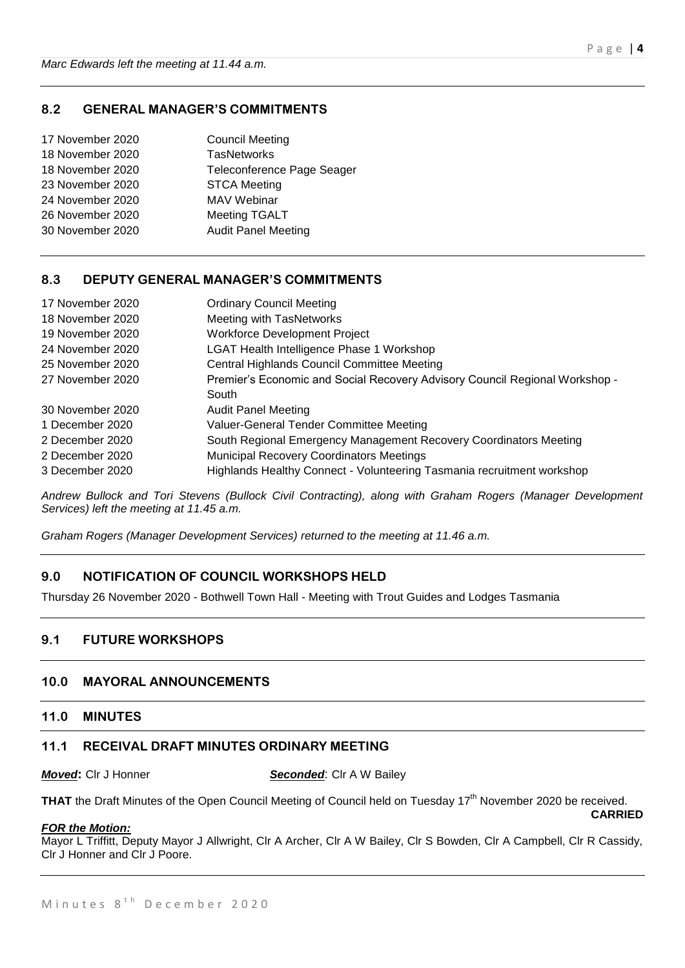# **8.2 GENERAL MANAGER'S COMMITMENTS**

| 17 November 2020 | <b>Council Meeting</b>     |
|------------------|----------------------------|
| 18 November 2020 | <b>TasNetworks</b>         |
| 18 November 2020 | Teleconference Page Seager |
| 23 November 2020 | <b>STCA Meeting</b>        |
| 24 November 2020 | MAV Webinar                |
| 26 November 2020 | <b>Meeting TGALT</b>       |
| 30 November 2020 | <b>Audit Panel Meeting</b> |
|                  |                            |

#### **8.3 DEPUTY GENERAL MANAGER'S COMMITMENTS**

| 17 November 2020 | <b>Ordinary Council Meeting</b>                                             |
|------------------|-----------------------------------------------------------------------------|
| 18 November 2020 | Meeting with TasNetworks                                                    |
| 19 November 2020 | <b>Workforce Development Project</b>                                        |
| 24 November 2020 | <b>LGAT Health Intelligence Phase 1 Workshop</b>                            |
| 25 November 2020 | Central Highlands Council Committee Meeting                                 |
| 27 November 2020 | Premier's Economic and Social Recovery Advisory Council Regional Workshop - |
|                  | South                                                                       |
| 30 November 2020 | <b>Audit Panel Meeting</b>                                                  |
| 1 December 2020  | Valuer-General Tender Committee Meeting                                     |
| 2 December 2020  | South Regional Emergency Management Recovery Coordinators Meeting           |
| 2 December 2020  | <b>Municipal Recovery Coordinators Meetings</b>                             |
| 3 December 2020  | Highlands Healthy Connect - Volunteering Tasmania recruitment workshop      |

*Andrew Bullock and Tori Stevens (Bullock Civil Contracting), along with Graham Rogers (Manager Development Services) left the meeting at 11.45 a.m.* 

*Graham Rogers (Manager Development Services) returned to the meeting at 11.46 a.m.*

# **9.0 NOTIFICATION OF COUNCIL WORKSHOPS HELD**

Thursday 26 November 2020 - Bothwell Town Hall - Meeting with Trout Guides and Lodges Tasmania

# **9.1 FUTURE WORKSHOPS**

#### **10.0 MAYORAL ANNOUNCEMENTS**

#### **11.0 MINUTES**

#### **11.1 RECEIVAL DRAFT MINUTES ORDINARY MEETING**

*Moved***:** Clr J Honner **Seconded**: Clr A W Bailey

**THAT** the Draft Minutes of the Open Council Meeting of Council held on Tuesday 17<sup>th</sup> November 2020 be received. **CARRIED**

#### *FOR the Motion:*

Mayor L Triffitt, Deputy Mayor J Allwright, Clr A Archer, Clr A W Bailey, Clr S Bowden, Clr A Campbell, Clr R Cassidy, Clr J Honner and Clr J Poore.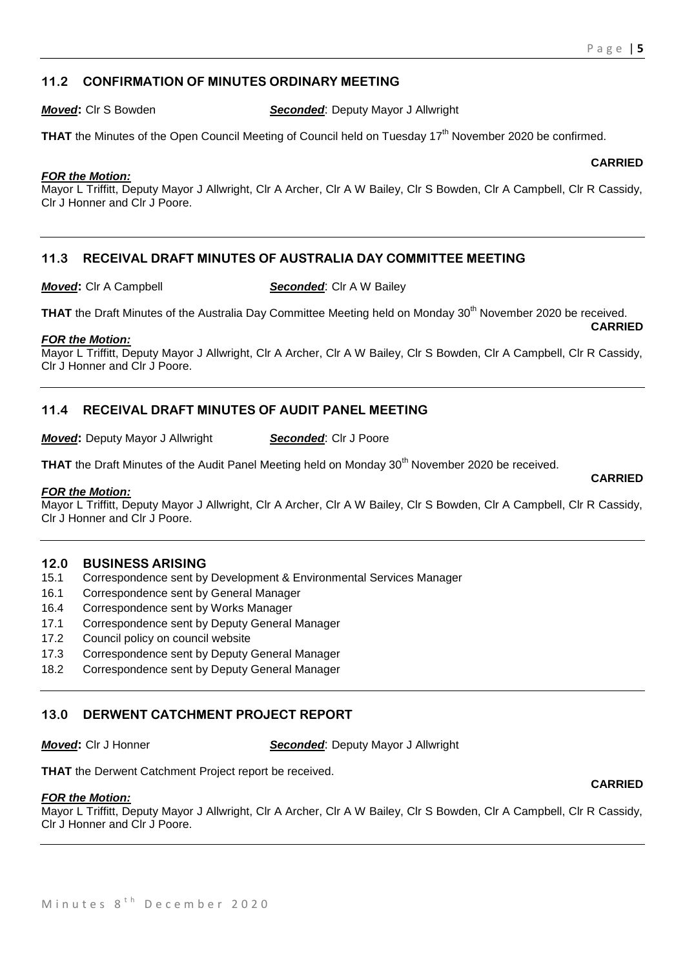**CARRIED**

# **11.2 CONFIRMATION OF MINUTES ORDINARY MEETING**

*Moved***:** Clr S Bowden *Seconded*: Deputy Mayor J Allwright

**THAT** the Minutes of the Open Council Meeting of Council held on Tuesday 17<sup>th</sup> November 2020 be confirmed.

#### *FOR the Motion:*

Mayor L Triffitt, Deputy Mayor J Allwright, Clr A Archer, Clr A W Bailey, Clr S Bowden, Clr A Campbell, Clr R Cassidy, Clr J Honner and Clr J Poore.

# **11.3 RECEIVAL DRAFT MINUTES OF AUSTRALIA DAY COMMITTEE MEETING**

*Moved***:** Clr A Campbell *Seconded***:** Clr A W Bailey

**THAT** the Draft Minutes of the Australia Day Committee Meeting held on Monday 30<sup>th</sup> November 2020 be received. **CARRIED**

#### *FOR the Motion:*

Mayor L Triffitt, Deputy Mayor J Allwright, Clr A Archer, Clr A W Bailey, Clr S Bowden, Clr A Campbell, Clr R Cassidy, Clr J Honner and Clr J Poore.

# **11.4 RECEIVAL DRAFT MINUTES OF AUDIT PANEL MEETING**

*Moved:* Deputy Mayor J Allwright **Seconded:** Clr J Poore

**THAT** the Draft Minutes of the Audit Panel Meeting held on Monday 30<sup>th</sup> November 2020 be received.

#### *FOR the Motion:*

Mayor L Triffitt, Deputy Mayor J Allwright, Clr A Archer, Clr A W Bailey, Clr S Bowden, Clr A Campbell, Clr R Cassidy, Clr J Honner and Clr J Poore.

#### **12.0 BUSINESS ARISING**

- 15.1 Correspondence sent by Development & Environmental Services Manager
- 16.1 Correspondence sent by General Manager
- 16.4 Correspondence sent by Works Manager
- 17.1 Correspondence sent by Deputy General Manager
- 17.2 Council policy on council website
- 17.3 Correspondence sent by Deputy General Manager
- 18.2 Correspondence sent by Deputy General Manager

# **13.0 DERWENT CATCHMENT PROJECT REPORT**

*Moved***:** Clr J Honner *Seconded*: Deputy Mayor J Allwright

**THAT** the Derwent Catchment Project report be received.

#### *FOR the Motion:*

Mayor L Triffitt, Deputy Mayor J Allwright, Clr A Archer, Clr A W Bailey, Clr S Bowden, Clr A Campbell, Clr R Cassidy, Clr J Honner and Clr J Poore.

**CARRIED**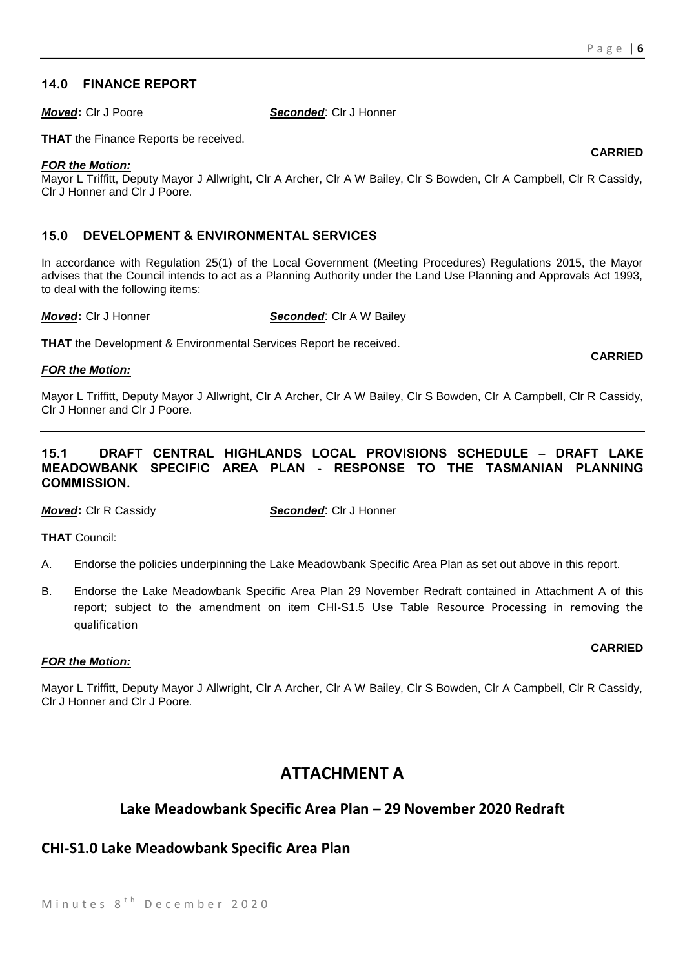# **14.0 FINANCE REPORT**

*Moved***:** Clr J Poore *Seconded*: Clr J Honner

**THAT** the Finance Reports be received.

#### *FOR the Motion:*

Mayor L Triffitt, Deputy Mayor J Allwright, Clr A Archer, Clr A W Bailey, Clr S Bowden, Clr A Campbell, Clr R Cassidy, Clr J Honner and Clr J Poore.

# **15.0 DEVELOPMENT & ENVIRONMENTAL SERVICES**

In accordance with Regulation 25(1) of the Local Government (Meeting Procedures) Regulations 2015, the Mayor advises that the Council intends to act as a Planning Authority under the Land Use Planning and Approvals Act 1993, to deal with the following items:

*Moved***: Cir J Honner <b>Seconded**: Cir A W Bailey

**THAT** the Development & Environmental Services Report be received.

#### *FOR the Motion:*

Mayor L Triffitt, Deputy Mayor J Allwright, Clr A Archer, Clr A W Bailey, Clr S Bowden, Clr A Campbell, Clr R Cassidy, Clr J Honner and Clr J Poore.

# **15.1 DRAFT CENTRAL HIGHLANDS LOCAL PROVISIONS SCHEDULE – DRAFT LAKE MEADOWBANK SPECIFIC AREA PLAN - RESPONSE TO THE TASMANIAN PLANNING COMMISSION.**

*Moved***:** Clr R Cassidy *Seconded*: Clr J Honner

**THAT** Council:

- A. Endorse the policies underpinning the Lake Meadowbank Specific Area Plan as set out above in this report.
- B. Endorse the Lake Meadowbank Specific Area Plan 29 November Redraft contained in Attachment A of this report; subject to the amendment on item CHI-S1.5 Use Table Resource Processing in removing the qualification

#### *FOR the Motion:*

Mayor L Triffitt, Deputy Mayor J Allwright, Clr A Archer, Clr A W Bailey, Clr S Bowden, Clr A Campbell, Clr R Cassidy, Clr J Honner and Clr J Poore.

# **ATTACHMENT A**

# **Lake Meadowbank Specific Area Plan – 29 November 2020 Redraft**

# **CHI-S1.0 Lake Meadowbank Specific Area Plan**

#### **CARRIED**

# **CARRIED**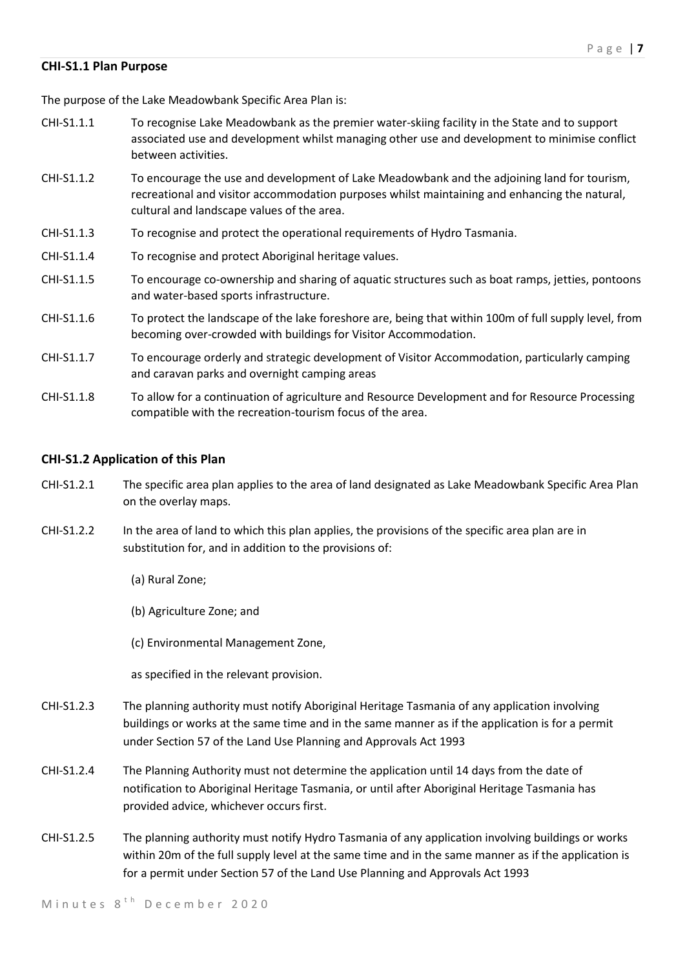#### **CHI-S1.1 Plan Purpose**

The purpose of the Lake Meadowbank Specific Area Plan is:

- CHI-S1.1.1 To recognise Lake Meadowbank as the premier water-skiing facility in the State and to support associated use and development whilst managing other use and development to minimise conflict between activities.
- CHI-S1.1.2 To encourage the use and development of Lake Meadowbank and the adjoining land for tourism, recreational and visitor accommodation purposes whilst maintaining and enhancing the natural, cultural and landscape values of the area.
- CHI-S1.1.3 To recognise and protect the operational requirements of Hydro Tasmania.
- CHI-S1.1.4 To recognise and protect Aboriginal heritage values.
- CHI-S1.1.5 To encourage co-ownership and sharing of aquatic structures such as boat ramps, jetties, pontoons and water-based sports infrastructure.
- CHI-S1.1.6 To protect the landscape of the lake foreshore are, being that within 100m of full supply level, from becoming over-crowded with buildings for Visitor Accommodation.
- CHI-S1.1.7 To encourage orderly and strategic development of Visitor Accommodation, particularly camping and caravan parks and overnight camping areas
- CHI-S1.1.8 To allow for a continuation of agriculture and Resource Development and for Resource Processing compatible with the recreation-tourism focus of the area.

#### **CHI-S1.2 Application of this Plan**

- CHI-S1.2.1 The specific area plan applies to the area of land designated as Lake Meadowbank Specific Area Plan on the overlay maps.
- CHI-S1.2.2 In the area of land to which this plan applies, the provisions of the specific area plan are in substitution for, and in addition to the provisions of:
	- (a) Rural Zone;
	- (b) Agriculture Zone; and
	- (c) Environmental Management Zone,

as specified in the relevant provision.

- CHI-S1.2.3 The planning authority must notify Aboriginal Heritage Tasmania of any application involving buildings or works at the same time and in the same manner as if the application is for a permit under Section 57 of the Land Use Planning and Approvals Act 1993
- CHI-S1.2.4 The Planning Authority must not determine the application until 14 days from the date of notification to Aboriginal Heritage Tasmania, or until after Aboriginal Heritage Tasmania has provided advice, whichever occurs first.
- CHI-S1.2.5 The planning authority must notify Hydro Tasmania of any application involving buildings or works within 20m of the full supply level at the same time and in the same manner as if the application is for a permit under Section 57 of the Land Use Planning and Approvals Act 1993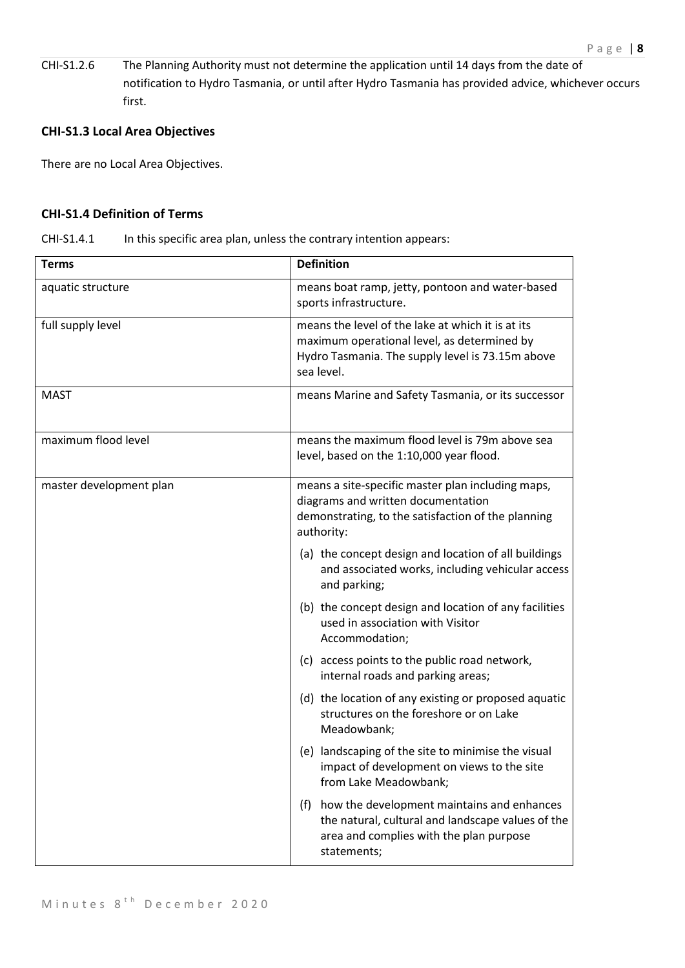CHI-S1.2.6 The Planning Authority must not determine the application until 14 days from the date of notification to Hydro Tasmania, or until after Hydro Tasmania has provided advice, whichever occurs first.

# **CHI-S1.3 Local Area Objectives**

There are no Local Area Objectives.

# **CHI-S1.4 Definition of Terms**

| CHI-S1.4.1 | In this specific area plan, unless the contrary intention appears: |
|------------|--------------------------------------------------------------------|
|------------|--------------------------------------------------------------------|

| <b>Terms</b>            | <b>Definition</b>                                                                                                                                                  |
|-------------------------|--------------------------------------------------------------------------------------------------------------------------------------------------------------------|
| aquatic structure       | means boat ramp, jetty, pontoon and water-based<br>sports infrastructure.                                                                                          |
| full supply level       | means the level of the lake at which it is at its<br>maximum operational level, as determined by<br>Hydro Tasmania. The supply level is 73.15m above<br>sea level. |
| <b>MAST</b>             | means Marine and Safety Tasmania, or its successor                                                                                                                 |
| maximum flood level     | means the maximum flood level is 79m above sea<br>level, based on the 1:10,000 year flood.                                                                         |
| master development plan | means a site-specific master plan including maps,<br>diagrams and written documentation<br>demonstrating, to the satisfaction of the planning<br>authority:        |
|                         | (a) the concept design and location of all buildings<br>and associated works, including vehicular access<br>and parking;                                           |
|                         | (b) the concept design and location of any facilities<br>used in association with Visitor<br>Accommodation;                                                        |
|                         | (c) access points to the public road network,<br>internal roads and parking areas;                                                                                 |
|                         | (d) the location of any existing or proposed aquatic<br>structures on the foreshore or on Lake<br>Meadowbank;                                                      |
|                         | (e) landscaping of the site to minimise the visual<br>impact of development on views to the site<br>from Lake Meadowbank;                                          |
|                         | how the development maintains and enhances<br>(f)<br>the natural, cultural and landscape values of the<br>area and complies with the plan purpose<br>statements;   |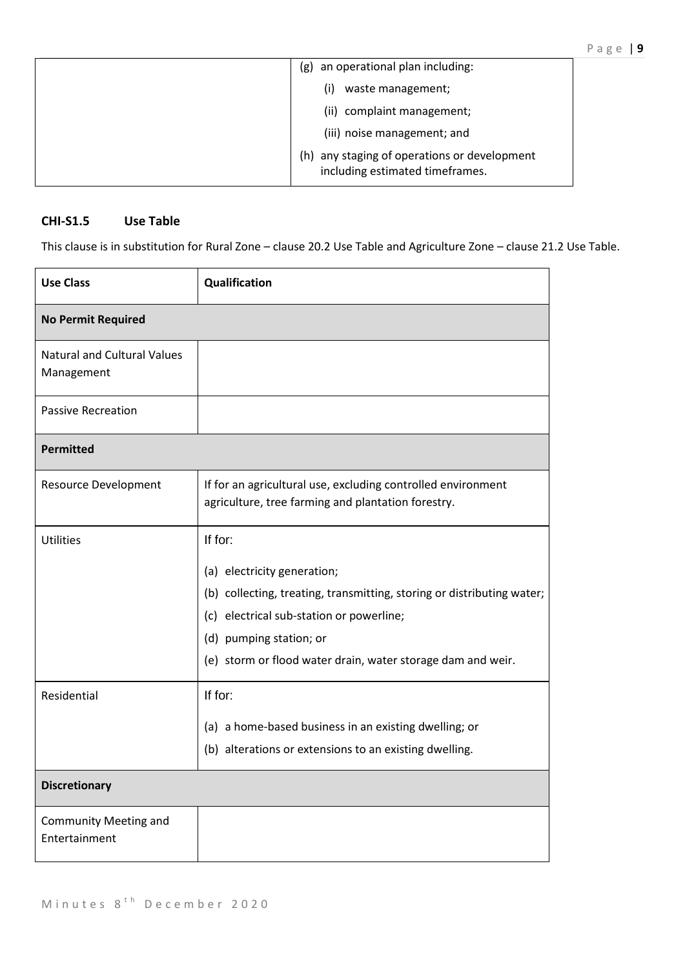| an operational plan including:<br>(g)                                              |
|------------------------------------------------------------------------------------|
| waste management;<br>(i)                                                           |
| (ii) complaint management;                                                         |
| (iii) noise management; and                                                        |
| any staging of operations or development<br>(h)<br>including estimated timeframes. |

# **CHI-S1.5 Use Table**

This clause is in substitution for Rural Zone – clause 20.2 Use Table and Agriculture Zone – clause 21.2 Use Table.

| <b>Use Class</b>                                 | Qualification                                                                                                                                                                                                                                          |  |
|--------------------------------------------------|--------------------------------------------------------------------------------------------------------------------------------------------------------------------------------------------------------------------------------------------------------|--|
| <b>No Permit Required</b>                        |                                                                                                                                                                                                                                                        |  |
| <b>Natural and Cultural Values</b><br>Management |                                                                                                                                                                                                                                                        |  |
| <b>Passive Recreation</b>                        |                                                                                                                                                                                                                                                        |  |
| <b>Permitted</b>                                 |                                                                                                                                                                                                                                                        |  |
| <b>Resource Development</b>                      | If for an agricultural use, excluding controlled environment<br>agriculture, tree farming and plantation forestry.                                                                                                                                     |  |
| <b>Utilities</b>                                 | If for:<br>(a) electricity generation;<br>(b) collecting, treating, transmitting, storing or distributing water;<br>(c) electrical sub-station or powerline;<br>(d) pumping station; or<br>(e) storm or flood water drain, water storage dam and weir. |  |
| Residential                                      | If for:<br>(a) a home-based business in an existing dwelling; or<br>(b) alterations or extensions to an existing dwelling.                                                                                                                             |  |
| <b>Discretionary</b>                             |                                                                                                                                                                                                                                                        |  |
| <b>Community Meeting and</b><br>Entertainment    |                                                                                                                                                                                                                                                        |  |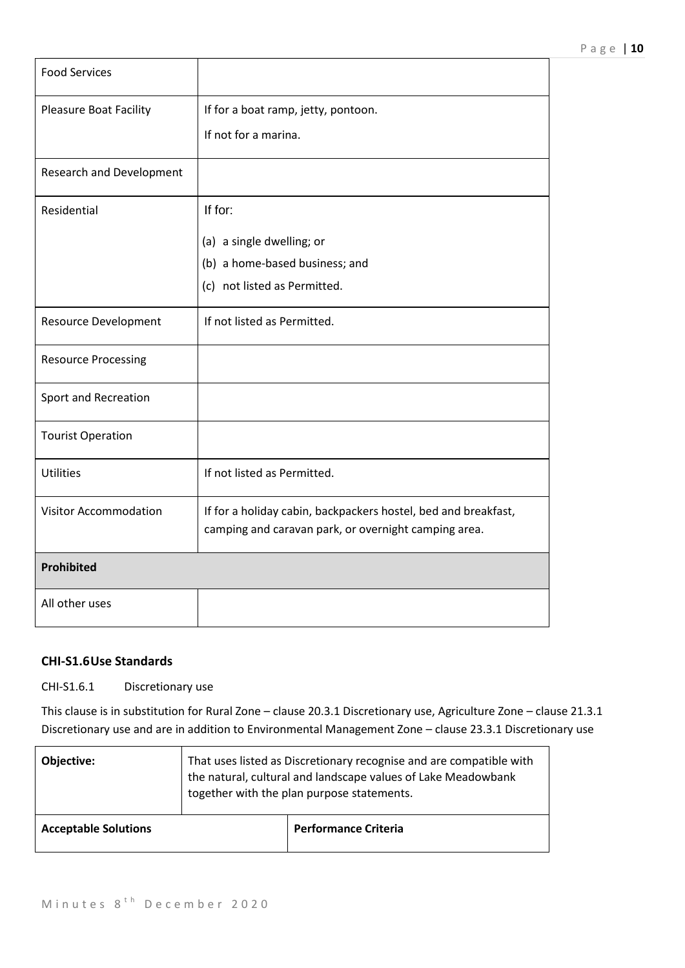| <b>Food Services</b>            |                                                                                                                        |
|---------------------------------|------------------------------------------------------------------------------------------------------------------------|
| <b>Pleasure Boat Facility</b>   | If for a boat ramp, jetty, pontoon.                                                                                    |
|                                 | If not for a marina.                                                                                                   |
| <b>Research and Development</b> |                                                                                                                        |
| Residential                     | If for:                                                                                                                |
|                                 | (a) a single dwelling; or                                                                                              |
|                                 | (b) a home-based business; and                                                                                         |
|                                 | (c) not listed as Permitted.                                                                                           |
| <b>Resource Development</b>     | If not listed as Permitted.                                                                                            |
| <b>Resource Processing</b>      |                                                                                                                        |
| Sport and Recreation            |                                                                                                                        |
| <b>Tourist Operation</b>        |                                                                                                                        |
| <b>Utilities</b>                | If not listed as Permitted.                                                                                            |
| Visitor Accommodation           | If for a holiday cabin, backpackers hostel, bed and breakfast,<br>camping and caravan park, or overnight camping area. |
| Prohibited                      |                                                                                                                        |
| All other uses                  |                                                                                                                        |

# **CHI-S1.6Use Standards**

CHI-S1.6.1 Discretionary use

This clause is in substitution for Rural Zone – clause 20.3.1 Discretionary use, Agriculture Zone – clause 21.3.1 Discretionary use and are in addition to Environmental Management Zone – clause 23.3.1 Discretionary use

| Objective:                  | That uses listed as Discretionary recognise and are compatible with<br>the natural, cultural and landscape values of Lake Meadowbank<br>together with the plan purpose statements. |                             |
|-----------------------------|------------------------------------------------------------------------------------------------------------------------------------------------------------------------------------|-----------------------------|
| <b>Acceptable Solutions</b> |                                                                                                                                                                                    | <b>Performance Criteria</b> |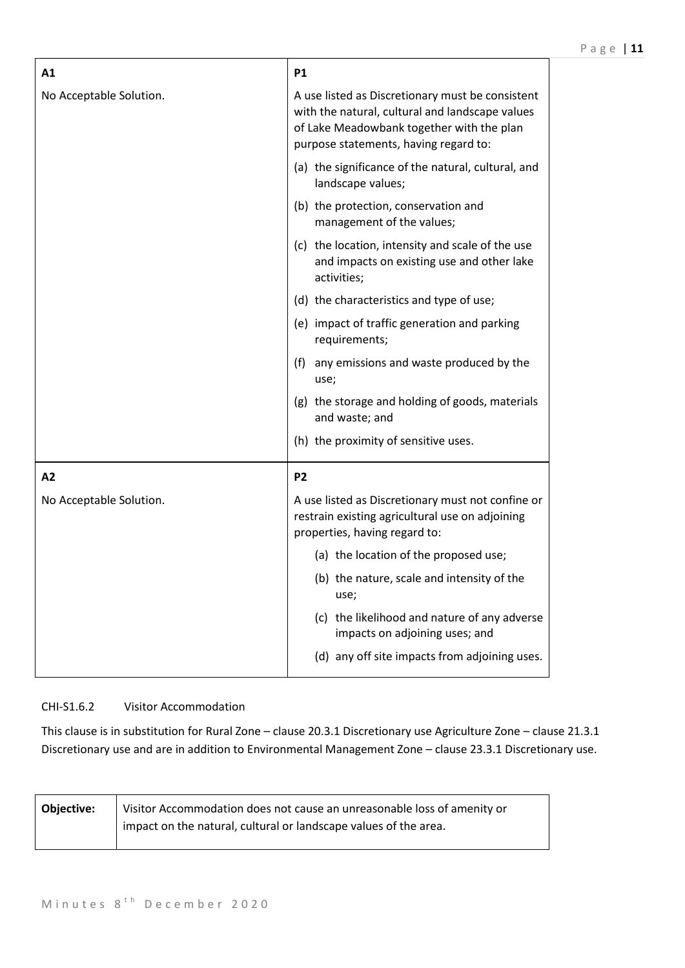| A1                      | <b>P1</b>                                                                                                                                                                                 |
|-------------------------|-------------------------------------------------------------------------------------------------------------------------------------------------------------------------------------------|
| No Acceptable Solution. | A use listed as Discretionary must be consistent<br>with the natural, cultural and landscape values<br>of Lake Meadowbank together with the plan<br>purpose statements, having regard to: |
|                         | (a) the significance of the natural, cultural, and<br>landscape values;                                                                                                                   |
|                         | (b) the protection, conservation and<br>management of the values;                                                                                                                         |
|                         | (c) the location, intensity and scale of the use<br>and impacts on existing use and other lake<br>activities;                                                                             |
|                         | (d) the characteristics and type of use;                                                                                                                                                  |
|                         | (e) impact of traffic generation and parking<br>requirements;                                                                                                                             |
|                         | any emissions and waste produced by the<br>(f)<br>use;                                                                                                                                    |
|                         | (g) the storage and holding of goods, materials<br>and waste; and                                                                                                                         |
|                         | (h) the proximity of sensitive uses.                                                                                                                                                      |
| A2                      | P <sub>2</sub>                                                                                                                                                                            |
| No Acceptable Solution. | A use listed as Discretionary must not confine or<br>restrain existing agricultural use on adjoining<br>properties, having regard to:                                                     |
|                         | (a) the location of the proposed use;                                                                                                                                                     |
|                         | (b) the nature, scale and intensity of the<br>use;                                                                                                                                        |
|                         | (c) the likelihood and nature of any adverse<br>impacts on adjoining uses; and                                                                                                            |
|                         | (d) any off site impacts from adjoining uses.                                                                                                                                             |

# CHI-S1.6.2 Visitor Accommodation

This clause is in substitution for Rural Zone – clause 20.3.1 Discretionary use Agriculture Zone – clause 21.3.1 Discretionary use and are in addition to Environmental Management Zone – clause 23.3.1 Discretionary use.

| <b>Objective:</b> | Visitor Accommodation does not cause an unreasonable loss of amenity or |
|-------------------|-------------------------------------------------------------------------|
|                   | impact on the natural, cultural or landscape values of the area.        |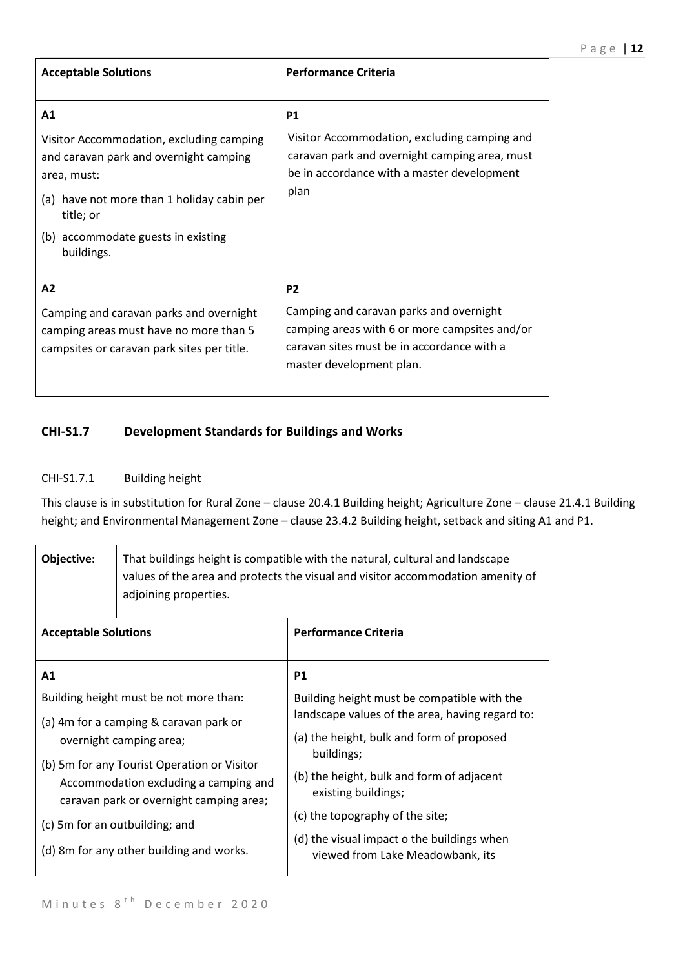| <b>Acceptable Solutions</b>                                                                                                                                                                                            | <b>Performance Criteria</b>                                                                                                                                                          |
|------------------------------------------------------------------------------------------------------------------------------------------------------------------------------------------------------------------------|--------------------------------------------------------------------------------------------------------------------------------------------------------------------------------------|
| A1<br>Visitor Accommodation, excluding camping<br>and caravan park and overnight camping<br>area, must:<br>(a) have not more than 1 holiday cabin per<br>title; or<br>(b) accommodate guests in existing<br>buildings. | <b>P1</b><br>Visitor Accommodation, excluding camping and<br>caravan park and overnight camping area, must<br>be in accordance with a master development<br>plan                     |
| A2<br>Camping and caravan parks and overnight<br>camping areas must have no more than 5<br>campsites or caravan park sites per title.                                                                                  | P <sub>2</sub><br>Camping and caravan parks and overnight<br>camping areas with 6 or more campsites and/or<br>caravan sites must be in accordance with a<br>master development plan. |

# **CHI-S1.7 Development Standards for Buildings and Works**

# CHI-S1.7.1 Building height

This clause is in substitution for Rural Zone – clause 20.4.1 Building height; Agriculture Zone – clause 21.4.1 Building height; and Environmental Management Zone – clause 23.4.2 Building height, setback and siting A1 and P1.

| Objective:                                  | That buildings height is compatible with the natural, cultural and landscape<br>values of the area and protects the visual and visitor accommodation amenity of<br>adjoining properties. |                                                         |
|---------------------------------------------|------------------------------------------------------------------------------------------------------------------------------------------------------------------------------------------|---------------------------------------------------------|
| <b>Acceptable Solutions</b>                 |                                                                                                                                                                                          | <b>Performance Criteria</b>                             |
| A <sub>1</sub>                              |                                                                                                                                                                                          | <b>P1</b>                                               |
| Building height must be not more than:      |                                                                                                                                                                                          | Building height must be compatible with the             |
| (a) 4m for a camping & caravan park or      |                                                                                                                                                                                          | landscape values of the area, having regard to:         |
|                                             | overnight camping area;                                                                                                                                                                  | (a) the height, bulk and form of proposed<br>buildings; |
| (b) 5m for any Tourist Operation or Visitor |                                                                                                                                                                                          | (b) the height, bulk and form of adjacent               |
|                                             | Accommodation excluding a camping and<br>caravan park or overnight camping area;                                                                                                         | existing buildings;                                     |
|                                             |                                                                                                                                                                                          | (c) the topography of the site;                         |
|                                             | (c) 5m for an outbuilding; and                                                                                                                                                           | (d) the visual impact o the buildings when              |
|                                             | (d) 8m for any other building and works.                                                                                                                                                 | viewed from Lake Meadowbank, its                        |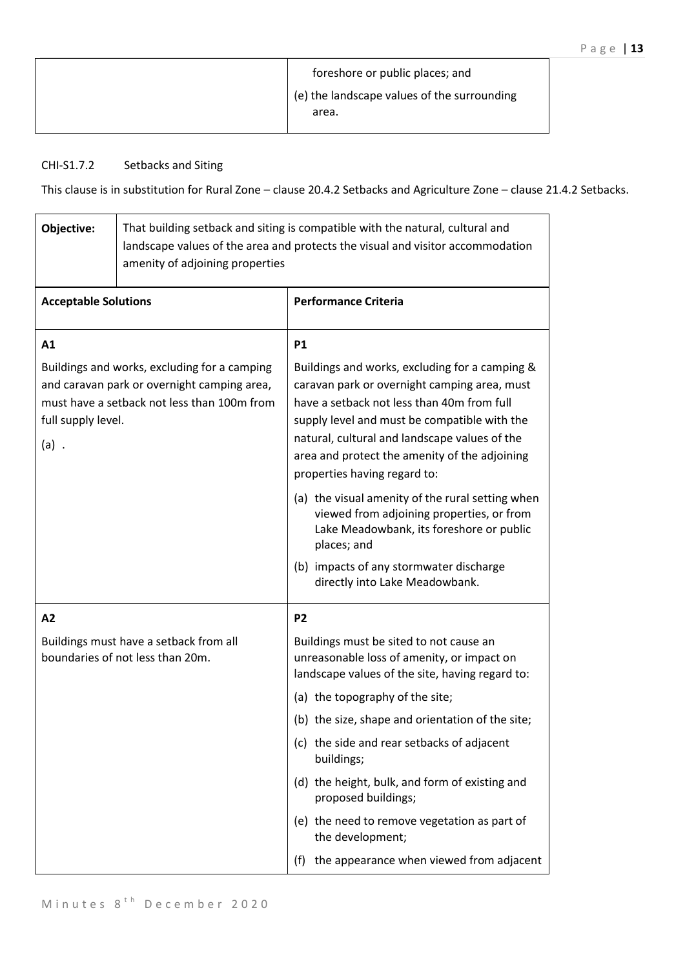| foreshore or public places; and                      |
|------------------------------------------------------|
| (e) the landscape values of the surrounding<br>area. |

# CHI-S1.7.2 Setbacks and Siting

This clause is in substitution for Rural Zone – clause 20.4.2 Setbacks and Agriculture Zone – clause 21.4.2 Setbacks.

| Objective:                                                                                                                                                                  | That building setback and siting is compatible with the natural, cultural and<br>landscape values of the area and protects the visual and visitor accommodation<br>amenity of adjoining properties |                                                                                                                                                                                                                                                                                                                                |
|-----------------------------------------------------------------------------------------------------------------------------------------------------------------------------|----------------------------------------------------------------------------------------------------------------------------------------------------------------------------------------------------|--------------------------------------------------------------------------------------------------------------------------------------------------------------------------------------------------------------------------------------------------------------------------------------------------------------------------------|
| <b>Acceptable Solutions</b>                                                                                                                                                 |                                                                                                                                                                                                    | <b>Performance Criteria</b>                                                                                                                                                                                                                                                                                                    |
| A1                                                                                                                                                                          |                                                                                                                                                                                                    | <b>P1</b>                                                                                                                                                                                                                                                                                                                      |
| Buildings and works, excluding for a camping<br>and caravan park or overnight camping area,<br>must have a setback not less than 100m from<br>full supply level.<br>$(a)$ . |                                                                                                                                                                                                    | Buildings and works, excluding for a camping &<br>caravan park or overnight camping area, must<br>have a setback not less than 40m from full<br>supply level and must be compatible with the<br>natural, cultural and landscape values of the<br>area and protect the amenity of the adjoining<br>properties having regard to: |
|                                                                                                                                                                             |                                                                                                                                                                                                    | (a) the visual amenity of the rural setting when<br>viewed from adjoining properties, or from<br>Lake Meadowbank, its foreshore or public<br>places; and                                                                                                                                                                       |
|                                                                                                                                                                             |                                                                                                                                                                                                    | (b) impacts of any stormwater discharge<br>directly into Lake Meadowbank.                                                                                                                                                                                                                                                      |
| A2                                                                                                                                                                          |                                                                                                                                                                                                    | <b>P2</b>                                                                                                                                                                                                                                                                                                                      |
|                                                                                                                                                                             | Buildings must have a setback from all<br>boundaries of not less than 20m.                                                                                                                         | Buildings must be sited to not cause an<br>unreasonable loss of amenity, or impact on<br>landscape values of the site, having regard to:                                                                                                                                                                                       |
|                                                                                                                                                                             |                                                                                                                                                                                                    | (a) the topography of the site;                                                                                                                                                                                                                                                                                                |
|                                                                                                                                                                             |                                                                                                                                                                                                    | (b) the size, shape and orientation of the site;                                                                                                                                                                                                                                                                               |
|                                                                                                                                                                             |                                                                                                                                                                                                    | (c) the side and rear setbacks of adjacent<br>buildings;                                                                                                                                                                                                                                                                       |
|                                                                                                                                                                             |                                                                                                                                                                                                    | (d) the height, bulk, and form of existing and<br>proposed buildings;                                                                                                                                                                                                                                                          |
|                                                                                                                                                                             |                                                                                                                                                                                                    | (e) the need to remove vegetation as part of<br>the development;                                                                                                                                                                                                                                                               |
|                                                                                                                                                                             |                                                                                                                                                                                                    | (f) the appearance when viewed from adjacent                                                                                                                                                                                                                                                                                   |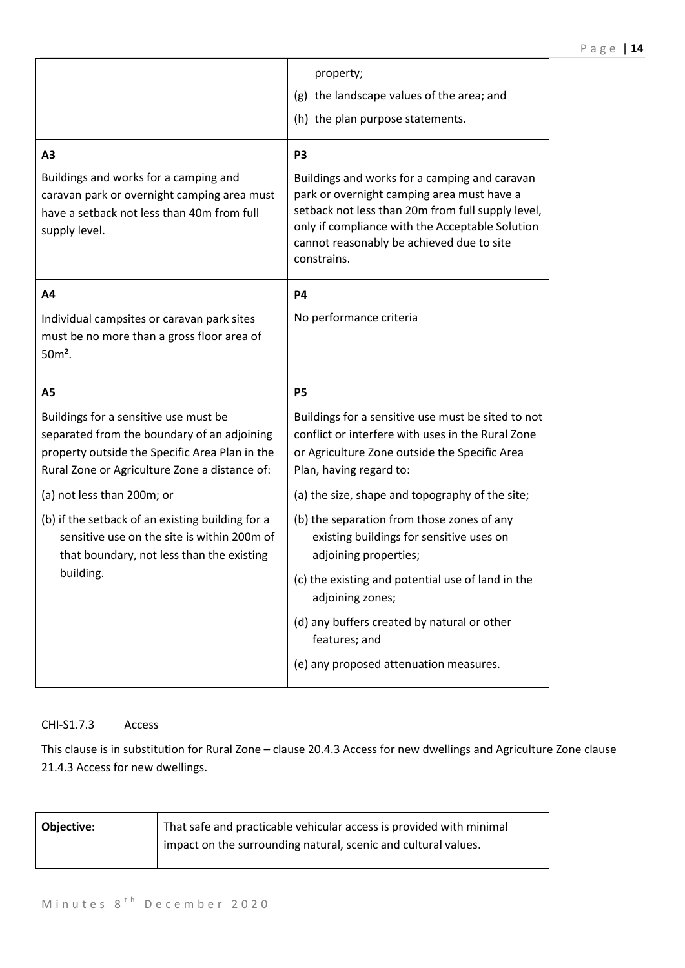|                                                                                                                                                                                         | property;<br>(g) the landscape values of the area; and<br>(h) the plan purpose statements.                                                                                                                                                                                        |
|-----------------------------------------------------------------------------------------------------------------------------------------------------------------------------------------|-----------------------------------------------------------------------------------------------------------------------------------------------------------------------------------------------------------------------------------------------------------------------------------|
| A <sub>3</sub><br>Buildings and works for a camping and<br>caravan park or overnight camping area must<br>have a setback not less than 40m from full<br>supply level.                   | P <sub>3</sub><br>Buildings and works for a camping and caravan<br>park or overnight camping area must have a<br>setback not less than 20m from full supply level,<br>only if compliance with the Acceptable Solution<br>cannot reasonably be achieved due to site<br>constrains. |
| A4<br>Individual campsites or caravan park sites<br>must be no more than a gross floor area of<br>$50m²$ .                                                                              | <b>P4</b><br>No performance criteria                                                                                                                                                                                                                                              |
|                                                                                                                                                                                         |                                                                                                                                                                                                                                                                                   |
| A <sub>5</sub>                                                                                                                                                                          | <b>P5</b>                                                                                                                                                                                                                                                                         |
| Buildings for a sensitive use must be<br>separated from the boundary of an adjoining<br>property outside the Specific Area Plan in the<br>Rural Zone or Agriculture Zone a distance of: | Buildings for a sensitive use must be sited to not<br>conflict or interfere with uses in the Rural Zone<br>or Agriculture Zone outside the Specific Area<br>Plan, having regard to:                                                                                               |
| (a) not less than 200m; or                                                                                                                                                              | (a) the size, shape and topography of the site;                                                                                                                                                                                                                                   |
| (b) if the setback of an existing building for a<br>sensitive use on the site is within 200m of<br>that boundary, not less than the existing                                            | (b) the separation from those zones of any<br>existing buildings for sensitive uses on<br>adjoining properties;                                                                                                                                                                   |
| building.                                                                                                                                                                               | (c) the existing and potential use of land in the<br>adjoining zones;                                                                                                                                                                                                             |
|                                                                                                                                                                                         | (d) any buffers created by natural or other<br>features; and                                                                                                                                                                                                                      |

# CHI-S1.7.3 Access

This clause is in substitution for Rural Zone – clause 20.4.3 Access for new dwellings and Agriculture Zone clause 21.4.3 Access for new dwellings.

| <b>Objective:</b> | That safe and practicable vehicular access is provided with minimal |
|-------------------|---------------------------------------------------------------------|
|                   | impact on the surrounding natural, scenic and cultural values.      |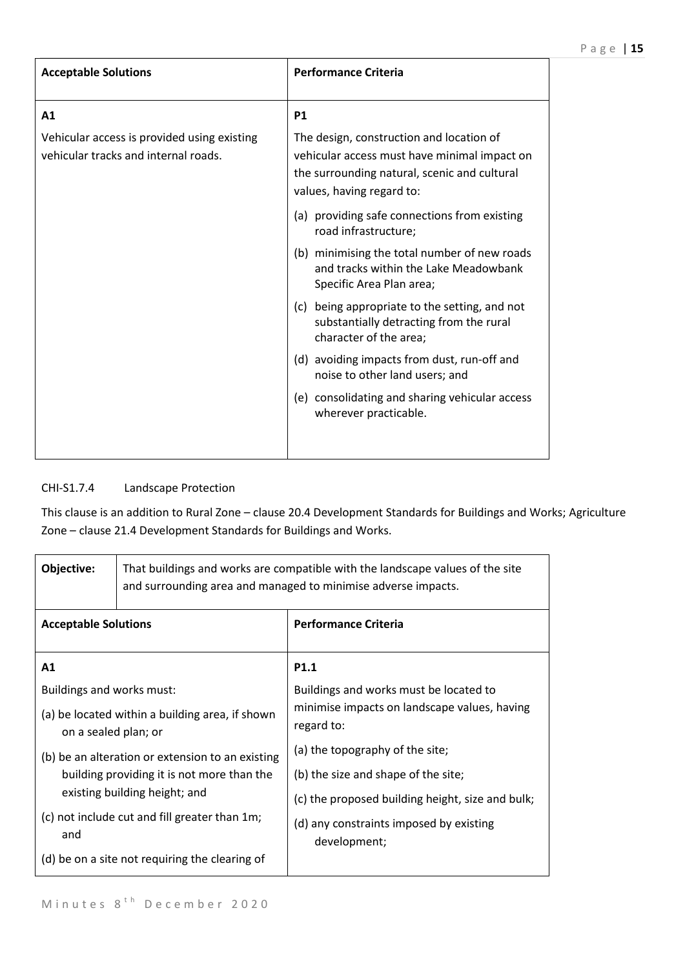| <b>Acceptable Solutions</b>                                                         | <b>Performance Criteria</b>                                                                                                                                           |
|-------------------------------------------------------------------------------------|-----------------------------------------------------------------------------------------------------------------------------------------------------------------------|
| A1                                                                                  | <b>P1</b>                                                                                                                                                             |
| Vehicular access is provided using existing<br>vehicular tracks and internal roads. | The design, construction and location of<br>vehicular access must have minimal impact on<br>the surrounding natural, scenic and cultural<br>values, having regard to: |
|                                                                                     | (a) providing safe connections from existing<br>road infrastructure;                                                                                                  |
|                                                                                     | (b) minimising the total number of new roads<br>and tracks within the Lake Meadowbank<br>Specific Area Plan area;                                                     |
|                                                                                     | (c) being appropriate to the setting, and not<br>substantially detracting from the rural<br>character of the area;                                                    |
|                                                                                     | (d) avoiding impacts from dust, run-off and<br>noise to other land users; and                                                                                         |
|                                                                                     | (e) consolidating and sharing vehicular access<br>wherever practicable.                                                                                               |

# CHI-S1.7.4 Landscape Protection

This clause is an addition to Rural Zone – clause 20.4 Development Standards for Buildings and Works; Agriculture Zone – clause 21.4 Development Standards for Buildings and Works.

| Objective:                                                                  | That buildings and works are compatible with the landscape values of the site<br>and surrounding area and managed to minimise adverse impacts. |                                                            |
|-----------------------------------------------------------------------------|------------------------------------------------------------------------------------------------------------------------------------------------|------------------------------------------------------------|
| <b>Acceptable Solutions</b>                                                 |                                                                                                                                                | <b>Performance Criteria</b>                                |
| A1                                                                          |                                                                                                                                                | P <sub>1.1</sub>                                           |
| Buildings and works must:                                                   |                                                                                                                                                | Buildings and works must be located to                     |
| (a) be located within a building area, if shown<br>on a sealed plan; or     |                                                                                                                                                | minimise impacts on landscape values, having<br>regard to: |
| (b) be an alteration or extension to an existing                            |                                                                                                                                                | (a) the topography of the site;                            |
| building providing it is not more than the<br>existing building height; and | (b) the size and shape of the site;                                                                                                            |                                                            |
|                                                                             | (c) the proposed building height, size and bulk;                                                                                               |                                                            |
| and                                                                         | (c) not include cut and fill greater than 1m;                                                                                                  | (d) any constraints imposed by existing<br>development;    |
|                                                                             | (d) be on a site not requiring the clearing of                                                                                                 |                                                            |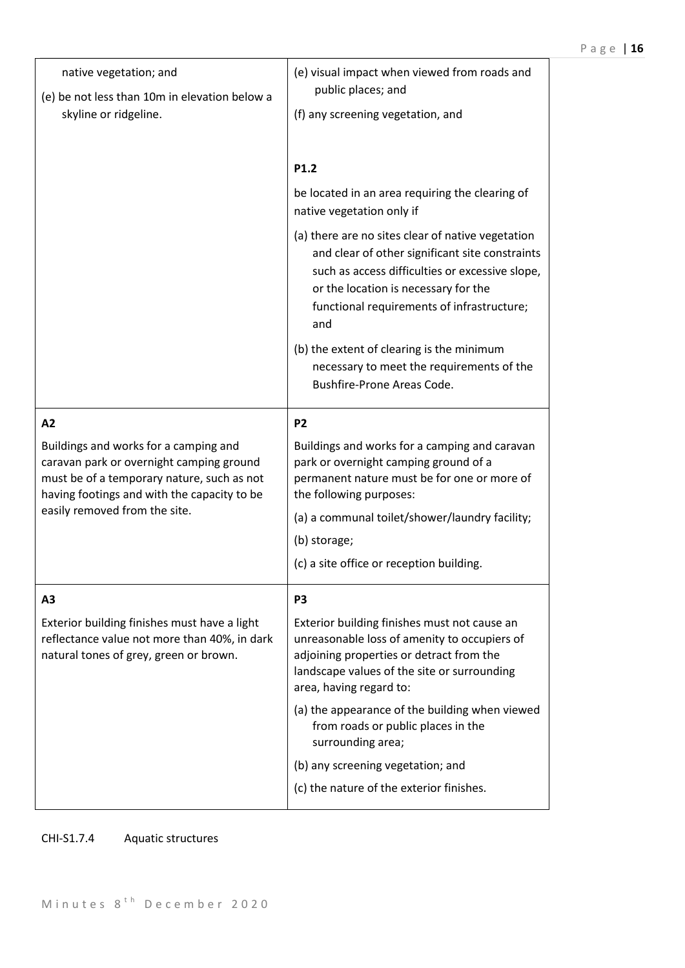| native vegetation; and<br>(e) be not less than 10m in elevation below a<br>skyline or ridgeline.                                                                               | (e) visual impact when viewed from roads and<br>public places; and<br>(f) any screening vegetation, and                                                                                                                                              |  |
|--------------------------------------------------------------------------------------------------------------------------------------------------------------------------------|------------------------------------------------------------------------------------------------------------------------------------------------------------------------------------------------------------------------------------------------------|--|
|                                                                                                                                                                                | P1.2                                                                                                                                                                                                                                                 |  |
|                                                                                                                                                                                | be located in an area requiring the clearing of<br>native vegetation only if                                                                                                                                                                         |  |
|                                                                                                                                                                                | (a) there are no sites clear of native vegetation<br>and clear of other significant site constraints<br>such as access difficulties or excessive slope,<br>or the location is necessary for the<br>functional requirements of infrastructure;<br>and |  |
|                                                                                                                                                                                | (b) the extent of clearing is the minimum<br>necessary to meet the requirements of the<br>Bushfire-Prone Areas Code.                                                                                                                                 |  |
| A2                                                                                                                                                                             | P <sub>2</sub>                                                                                                                                                                                                                                       |  |
| Buildings and works for a camping and<br>caravan park or overnight camping ground<br>must be of a temporary nature, such as not<br>having footings and with the capacity to be | Buildings and works for a camping and caravan<br>park or overnight camping ground of a<br>permanent nature must be for one or more of<br>the following purposes:                                                                                     |  |
| easily removed from the site.                                                                                                                                                  | (a) a communal toilet/shower/laundry facility;                                                                                                                                                                                                       |  |
|                                                                                                                                                                                | (b) storage;                                                                                                                                                                                                                                         |  |
|                                                                                                                                                                                | (c) a site office or reception building.                                                                                                                                                                                                             |  |
| А3                                                                                                                                                                             | P <sub>3</sub>                                                                                                                                                                                                                                       |  |
| Exterior building finishes must have a light<br>reflectance value not more than 40%, in dark<br>natural tones of grey, green or brown.                                         | Exterior building finishes must not cause an<br>unreasonable loss of amenity to occupiers of<br>adjoining properties or detract from the<br>landscape values of the site or surrounding<br>area, having regard to:                                   |  |
|                                                                                                                                                                                | (a) the appearance of the building when viewed<br>from roads or public places in the<br>surrounding area;                                                                                                                                            |  |
|                                                                                                                                                                                | (b) any screening vegetation; and                                                                                                                                                                                                                    |  |
|                                                                                                                                                                                | (c) the nature of the exterior finishes.                                                                                                                                                                                                             |  |

# CHI-S1.7.4 Aquatic structures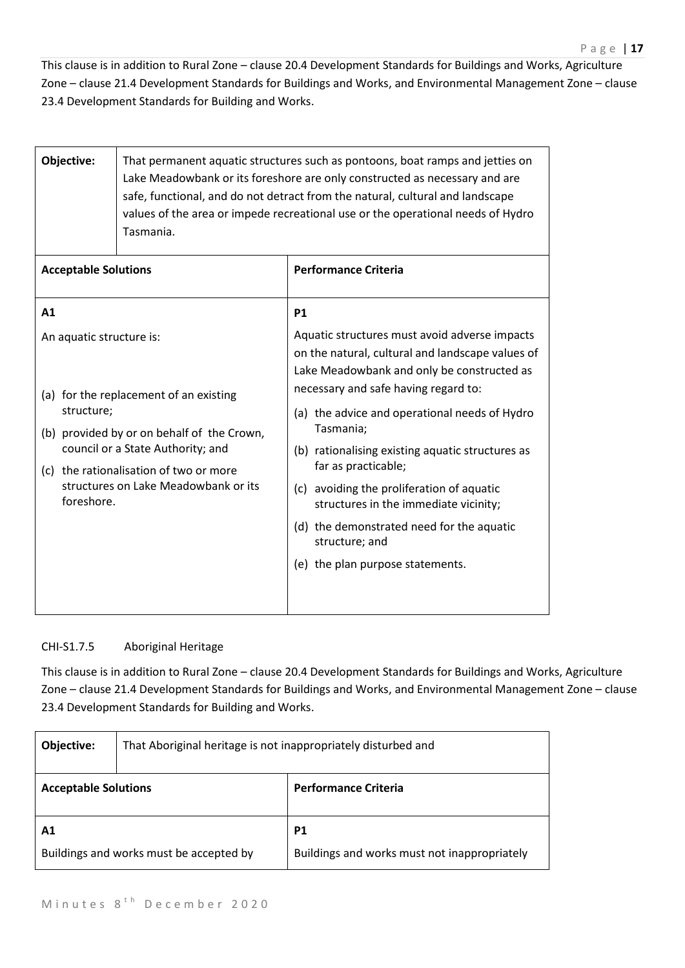This clause is in addition to Rural Zone – clause 20.4 Development Standards for Buildings and Works, Agriculture Zone – clause 21.4 Development Standards for Buildings and Works, and Environmental Management Zone – clause 23.4 Development Standards for Building and Works.

| Objective:                                                                                                                        | That permanent aquatic structures such as pontoons, boat ramps and jetties on<br>Lake Meadowbank or its foreshore are only constructed as necessary and are<br>safe, functional, and do not detract from the natural, cultural and landscape<br>values of the area or impede recreational use or the operational needs of Hydro<br>Tasmania. |                                               |  |
|-----------------------------------------------------------------------------------------------------------------------------------|----------------------------------------------------------------------------------------------------------------------------------------------------------------------------------------------------------------------------------------------------------------------------------------------------------------------------------------------|-----------------------------------------------|--|
| <b>Acceptable Solutions</b>                                                                                                       | <b>Performance Criteria</b>                                                                                                                                                                                                                                                                                                                  |                                               |  |
| A1                                                                                                                                |                                                                                                                                                                                                                                                                                                                                              | <b>P1</b>                                     |  |
| An aquatic structure is:                                                                                                          | Aquatic structures must avoid adverse impacts<br>on the natural, cultural and landscape values of<br>Lake Meadowbank and only be constructed as                                                                                                                                                                                              |                                               |  |
| structure;                                                                                                                        | (a) for the replacement of an existing<br>(b) provided by or on behalf of the Crown,                                                                                                                                                                                                                                                         | necessary and safe having regard to:          |  |
|                                                                                                                                   |                                                                                                                                                                                                                                                                                                                                              | Tasmania;                                     |  |
| council or a State Authority; and<br>(c) the rationalisation of two or more<br>structures on Lake Meadowbank or its<br>foreshore. | (b) rationalising existing aquatic structures as<br>far as practicable;                                                                                                                                                                                                                                                                      |                                               |  |
|                                                                                                                                   | (c) avoiding the proliferation of aquatic<br>structures in the immediate vicinity;                                                                                                                                                                                                                                                           |                                               |  |
|                                                                                                                                   | (d) the demonstrated need for the aquatic<br>structure; and                                                                                                                                                                                                                                                                                  |                                               |  |
|                                                                                                                                   |                                                                                                                                                                                                                                                                                                                                              | (e) the plan purpose statements.              |  |
|                                                                                                                                   |                                                                                                                                                                                                                                                                                                                                              | (a) the advice and operational needs of Hydro |  |

# CHI-S1.7.5 Aboriginal Heritage

This clause is in addition to Rural Zone – clause 20.4 Development Standards for Buildings and Works, Agriculture Zone – clause 21.4 Development Standards for Buildings and Works, and Environmental Management Zone – clause 23.4 Development Standards for Building and Works.

| Objective:                                    | That Aboriginal heritage is not inappropriately disturbed and |                                                           |  |
|-----------------------------------------------|---------------------------------------------------------------|-----------------------------------------------------------|--|
| <b>Acceptable Solutions</b>                   |                                                               | <b>Performance Criteria</b>                               |  |
| Α1<br>Buildings and works must be accepted by |                                                               | <b>P1</b><br>Buildings and works must not inappropriately |  |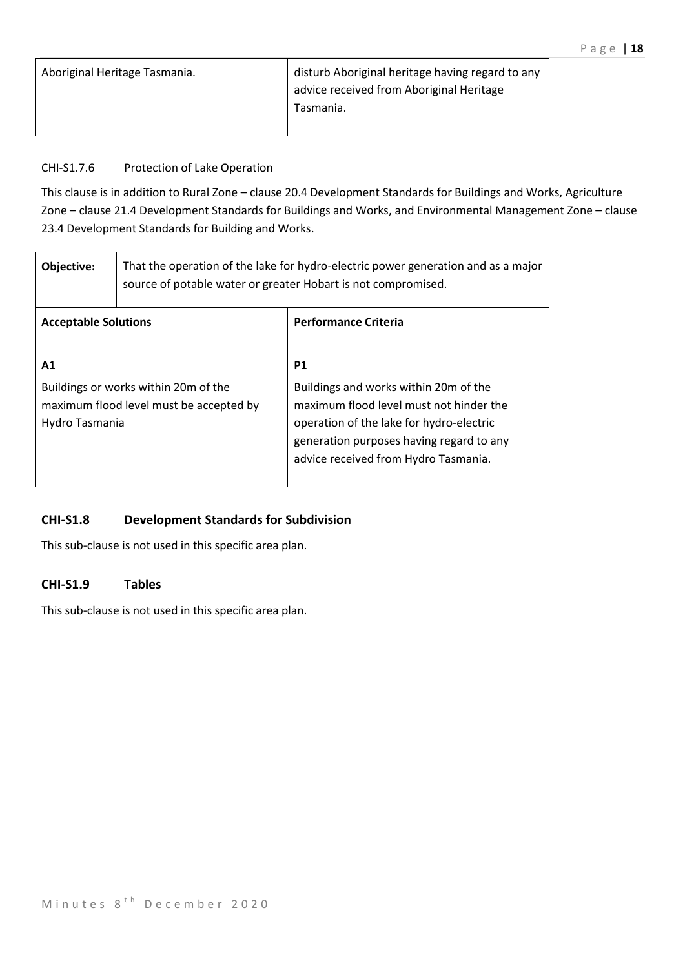| Aboriginal Heritage Tasmania. | disturb Aboriginal heritage having regard to any |
|-------------------------------|--------------------------------------------------|
|                               | advice received from Aboriginal Heritage         |
|                               | Tasmania.                                        |
|                               |                                                  |

# CHI-S1.7.6 Protection of Lake Operation

This clause is in addition to Rural Zone – clause 20.4 Development Standards for Buildings and Works, Agriculture Zone – clause 21.4 Development Standards for Buildings and Works, and Environmental Management Zone – clause 23.4 Development Standards for Building and Works.

| Objective:                  | That the operation of the lake for hydro-electric power generation and as a major<br>source of potable water or greater Hobart is not compromised. |                                                                                                                                                                                                                               |
|-----------------------------|----------------------------------------------------------------------------------------------------------------------------------------------------|-------------------------------------------------------------------------------------------------------------------------------------------------------------------------------------------------------------------------------|
| <b>Acceptable Solutions</b> |                                                                                                                                                    | <b>Performance Criteria</b>                                                                                                                                                                                                   |
| A1<br>Hydro Tasmania        | Buildings or works within 20m of the<br>maximum flood level must be accepted by                                                                    | <b>P1</b><br>Buildings and works within 20m of the<br>maximum flood level must not hinder the<br>operation of the lake for hydro-electric<br>generation purposes having regard to any<br>advice received from Hydro Tasmania. |

# **CHI-S1.8 Development Standards for Subdivision**

This sub-clause is not used in this specific area plan.

# **CHI-S1.9 Tables**

This sub-clause is not used in this specific area plan.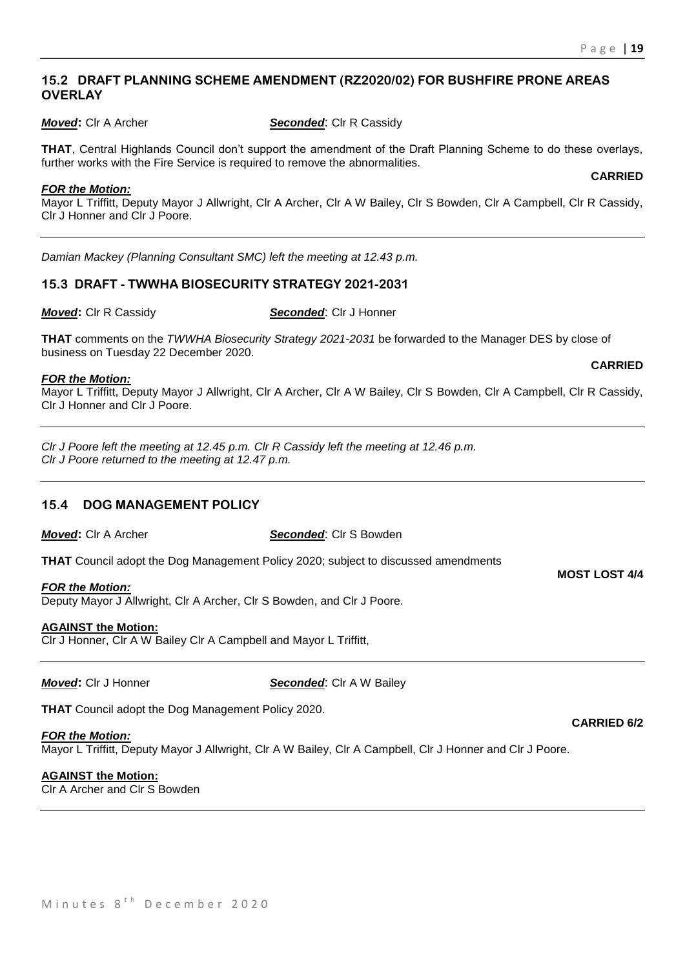**CARRIED**

#### **15.2 DRAFT PLANNING SCHEME AMENDMENT (RZ2020/02) FOR BUSHFIRE PRONE AREAS OVERLAY**

*Moved***:** Clr A Archer *Seconded*: Clr R Cassidy

**THAT**, Central Highlands Council don't support the amendment of the Draft Planning Scheme to do these overlays, further works with the Fire Service is required to remove the abnormalities.

#### *FOR the Motion:*

Mayor L Triffitt, Deputy Mayor J Allwright, Clr A Archer, Clr A W Bailey, Clr S Bowden, Clr A Campbell, Clr R Cassidy, Clr J Honner and Clr J Poore.

*Damian Mackey (Planning Consultant SMC) left the meeting at 12.43 p.m.*

# **15.3 DRAFT - TWWHA BIOSECURITY STRATEGY 2021-2031**

*Moved***:** Clr R Cassidy *Seconded*: Clr J Honner

**THAT** comments on the *TWWHA Biosecurity Strategy 2021-2031* be forwarded to the Manager DES by close of business on Tuesday 22 December 2020. **CARRIED**

#### *FOR the Motion:*

Mayor L Triffitt, Deputy Mayor J Allwright, Clr A Archer, Clr A W Bailey, Clr S Bowden, Clr A Campbell, Clr R Cassidy, Clr J Honner and Clr J Poore.

*Clr J Poore left the meeting at 12.45 p.m. Clr R Cassidy left the meeting at 12.46 p.m. Clr J Poore returned to the meeting at 12.47 p.m.*

# **15.4 DOG MANAGEMENT POLICY**

*Moved***:** Clr A Archer *Seconded*: Clr S Bowden

**THAT** Council adopt the Dog Management Policy 2020; subject to discussed amendments

#### *FOR the Motion:*

Deputy Mayor J Allwright, Clr A Archer, Clr S Bowden, and Clr J Poore.

#### **AGAINST the Motion:**

Clr J Honner, Clr A W Bailey Clr A Campbell and Mayor L Triffitt,

*Moved***: Cir J Honner <b>Seconded**: Cir A W Bailey

**THAT** Council adopt the Dog Management Policy 2020.

#### *FOR the Motion:*

Mayor L Triffitt, Deputy Mayor J Allwright, Clr A W Bailey, Clr A Campbell, Clr J Honner and Clr J Poore.

#### **AGAINST the Motion:**

Clr A Archer and Clr S Bowden

**MOST LOST 4/4**

**CARRIED 6/2**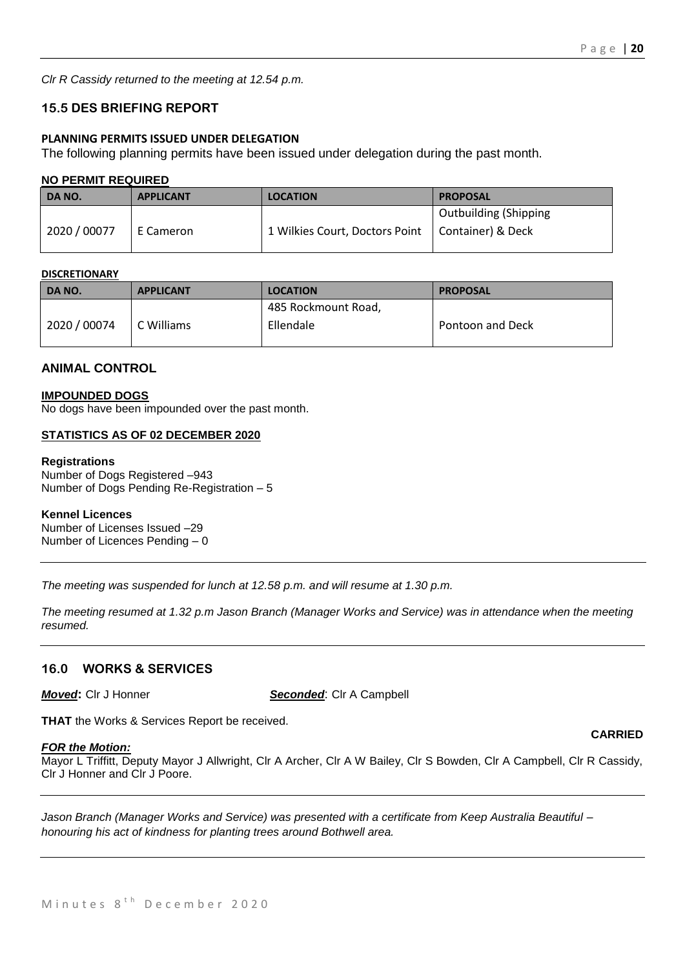*Clr R Cassidy returned to the meeting at 12.54 p.m.*

# **15.5 DES BRIEFING REPORT**

#### **PLANNING PERMITS ISSUED UNDER DELEGATION**

The following planning permits have been issued under delegation during the past month.

#### **NO PERMIT REQUIRED**

| DA NO.       | <b>APPLICANT</b> | <b>LOCATION</b>                | <b>PROPOSAL</b>                              |
|--------------|------------------|--------------------------------|----------------------------------------------|
| 2020 / 00077 | E Cameron        | 1 Wilkies Court, Doctors Point | Outbuilding (Shipping<br>  Container) & Deck |

#### **DISCRETIONARY**

| DA NO.       | <b>APPLICANT</b> | <b>LOCATION</b>     | <b>PROPOSAL</b>  |
|--------------|------------------|---------------------|------------------|
|              |                  | 485 Rockmount Road, |                  |
| 2020 / 00074 | C Williams       | Ellendale           | Pontoon and Deck |

#### **ANIMAL CONTROL**

#### **IMPOUNDED DOGS**

No dogs have been impounded over the past month.

#### **STATISTICS AS OF 02 DECEMBER 2020**

#### **Registrations**

Number of Dogs Registered –943 Number of Dogs Pending Re-Registration – 5

#### **Kennel Licences**

Number of Licenses Issued –29 Number of Licences Pending – 0

*The meeting was suspended for lunch at 12.58 p.m. and will resume at 1.30 p.m.*

*The meeting resumed at 1.32 p.m Jason Branch (Manager Works and Service) was in attendance when the meeting resumed.*

#### **16.0 WORKS & SERVICES**

*Moved***:** Clr J Honner *Seconded*: Clr A Campbell

**THAT** the Works & Services Report be received.

#### *FOR the Motion:*

Mayor L Triffitt, Deputy Mayor J Allwright, Clr A Archer, Clr A W Bailey, Clr S Bowden, Clr A Campbell, Clr R Cassidy, Clr J Honner and Clr J Poore.

*Jason Branch (Manager Works and Service) was presented with a certificate from Keep Australia Beautiful – honouring his act of kindness for planting trees around Bothwell area.*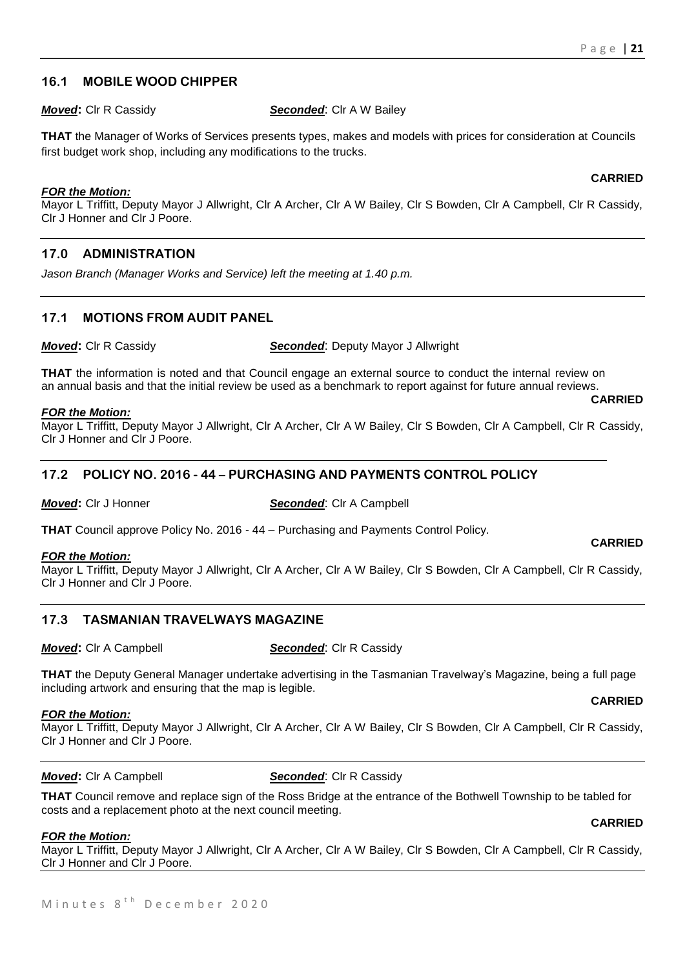# **16.1 MOBILE WOOD CHIPPER**

*Moved***:** Clr R Cassidy **Seconded:** Clr A W Bailey

**THAT** the Manager of Works of Services presents types, makes and models with prices for consideration at Councils first budget work shop, including any modifications to the trucks.

#### *FOR the Motion:*

Mayor L Triffitt, Deputy Mayor J Allwright, Clr A Archer, Clr A W Bailey, Clr S Bowden, Clr A Campbell, Clr R Cassidy, Clr J Honner and Clr J Poore.

# **17.0 ADMINISTRATION**

*Jason Branch (Manager Works and Service) left the meeting at 1.40 p.m.*

# **17.1 MOTIONS FROM AUDIT PANEL**

*Moved***:** Clr R Cassidy *Seconded*: Deputy Mayor J Allwright

**THAT** the information is noted and that Council engage an external source to conduct the internal review on an annual basis and that the initial review be used as a benchmark to report against for future annual reviews.

#### *FOR the Motion:*

Mayor L Triffitt, Deputy Mayor J Allwright, Clr A Archer, Clr A W Bailey, Clr S Bowden, Clr A Campbell, Clr R Cassidy, Clr J Honner and Clr J Poore.

#### **17.2 POLICY NO. 2016 - 44 – PURCHASING AND PAYMENTS CONTROL POLICY**

*Moved***:** Clr J Honner *Seconded*: Clr A Campbell

**THAT** Council approve Policy No. 2016 - 44 – Purchasing and Payments Control Policy.

#### *FOR the Motion:*

Mayor L Triffitt, Deputy Mayor J Allwright, Clr A Archer, Clr A W Bailey, Clr S Bowden, Clr A Campbell, Clr R Cassidy, Clr J Honner and Clr J Poore.

#### **17.3 TASMANIAN TRAVELWAYS MAGAZINE**

*Moved***:** Cir A Campbell **Seconded:** Cir R Cassidy

**THAT** the Deputy General Manager undertake advertising in the Tasmanian Travelway's Magazine, being a full page including artwork and ensuring that the map is legible.

#### *FOR the Motion:*

Mayor L Triffitt, Deputy Mayor J Allwright, Clr A Archer, Clr A W Bailey, Clr S Bowden, Clr A Campbell, Clr R Cassidy, Clr J Honner and Clr J Poore.

#### *Moved:* Clr A Campbell **Seconded:** Clr R Cassidy

**THAT** Council remove and replace sign of the Ross Bridge at the entrance of the Bothwell Township to be tabled for costs and a replacement photo at the next council meeting. **CARRIED**

#### *FOR the Motion:*

Mayor L Triffitt, Deputy Mayor J Allwright, Clr A Archer, Clr A W Bailey, Clr S Bowden, Clr A Campbell, Clr R Cassidy, Clr J Honner and Clr J Poore.

#### **CARRIED**

# **CARRIED**

**CARRIED**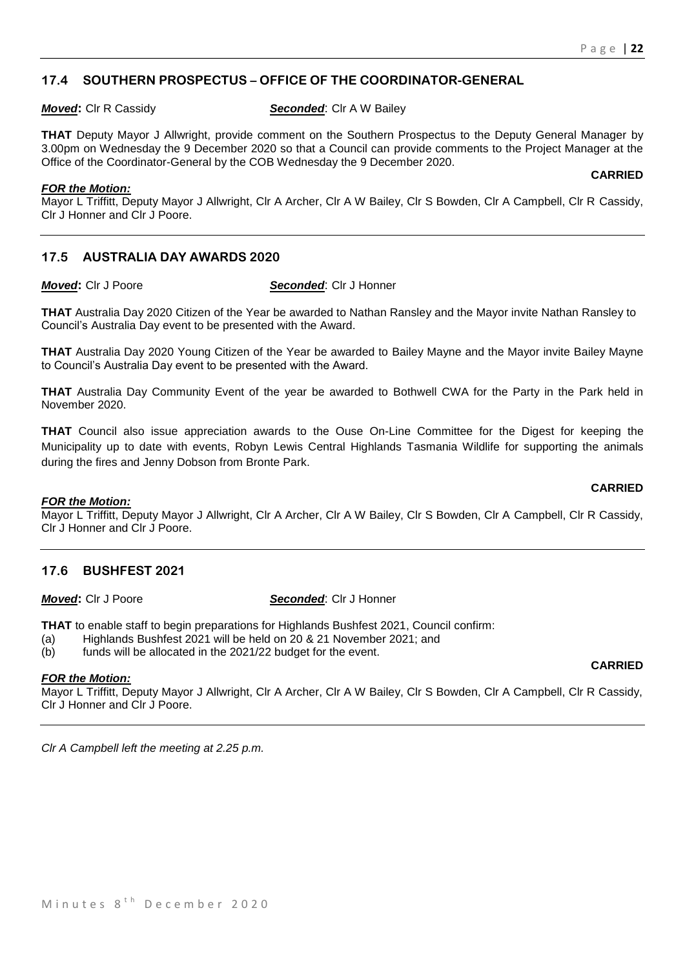# **17.4 SOUTHERN PROSPECTUS – OFFICE OF THE COORDINATOR-GENERAL**

*Moved***:** CIr R Cassidy **Seconded:** CIr A W Bailey

**THAT** Deputy Mayor J Allwright, provide comment on the Southern Prospectus to the Deputy General Manager by 3.00pm on Wednesday the 9 December 2020 so that a Council can provide comments to the Project Manager at the Office of the Coordinator-General by the COB Wednesday the 9 December 2020.

**CARRIED**

**CARRIED**

**CARRIED**

*FOR the Motion:*

Mayor L Triffitt, Deputy Mayor J Allwright, Clr A Archer, Clr A W Bailey, Clr S Bowden, Clr A Campbell, Clr R Cassidy, Clr J Honner and Clr J Poore.

# **17.5 AUSTRALIA DAY AWARDS 2020**

#### *Moved***:** Clr J Poore *Seconded*: Clr J Honner

**THAT** Australia Day 2020 Citizen of the Year be awarded to Nathan Ransley and the Mayor invite Nathan Ransley to Council's Australia Day event to be presented with the Award.

**THAT** Australia Day 2020 Young Citizen of the Year be awarded to Bailey Mayne and the Mayor invite Bailey Mayne to Council's Australia Day event to be presented with the Award.

**THAT** Australia Day Community Event of the year be awarded to Bothwell CWA for the Party in the Park held in November 2020.

**THAT** Council also issue appreciation awards to the Ouse On-Line Committee for the Digest for keeping the Municipality up to date with events, Robyn Lewis Central Highlands Tasmania Wildlife for supporting the animals during the fires and Jenny Dobson from Bronte Park.

#### *FOR the Motion:*

Mayor L Triffitt, Deputy Mayor J Allwright, Clr A Archer, Clr A W Bailey, Clr S Bowden, Clr A Campbell, Clr R Cassidy, Clr J Honner and Clr J Poore.

#### **17.6 BUSHFEST 2021**

#### *Moved***:** Clr J Poore *Seconded*: Clr J Honner

**THAT** to enable staff to begin preparations for Highlands Bushfest 2021, Council confirm:

- (a) Highlands Bushfest 2021 will be held on 20 & 21 November 2021; and
- (b) funds will be allocated in the 2021/22 budget for the event.

#### *FOR the Motion:*

Mayor L Triffitt, Deputy Mayor J Allwright, Clr A Archer, Clr A W Bailey, Clr S Bowden, Clr A Campbell, Clr R Cassidy, Clr J Honner and Clr J Poore.

*Clr A Campbell left the meeting at 2.25 p.m.*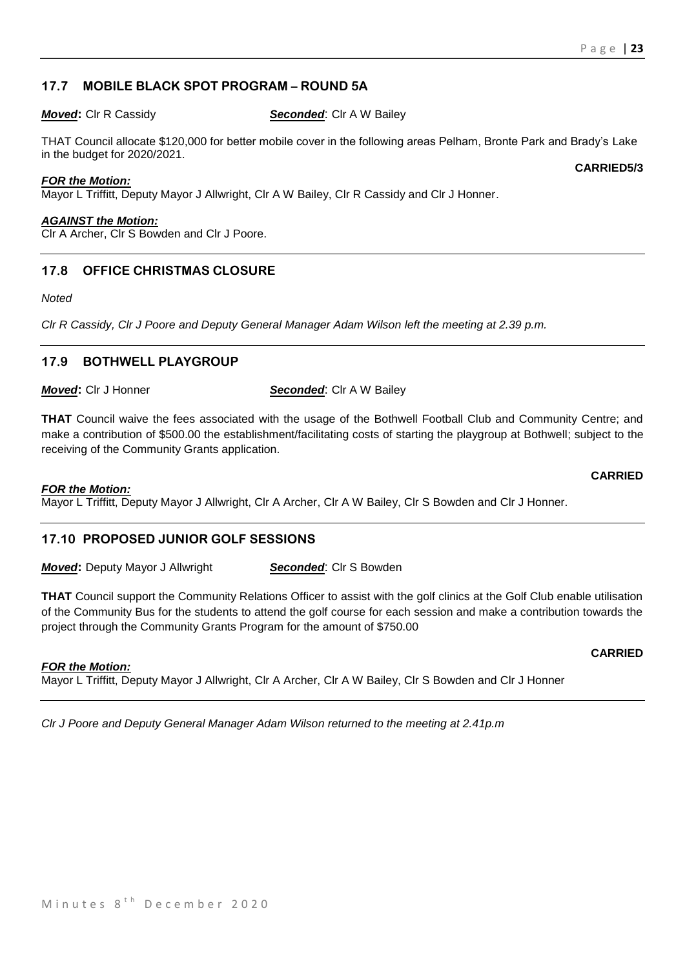# **17.7 MOBILE BLACK SPOT PROGRAM – ROUND 5A**

#### *Moved***:** Clr R Cassidy *Seconded*: Clr A W Bailey

THAT Council allocate \$120,000 for better mobile cover in the following areas Pelham, Bronte Park and Brady's Lake in the budget for 2020/2021.

#### *FOR the Motion:*

Mayor L Triffitt, Deputy Mayor J Allwright, Clr A W Bailey, Clr R Cassidy and Clr J Honner.

#### *AGAINST the Motion:*

Clr A Archer, Clr S Bowden and Clr J Poore.

# **17.8 OFFICE CHRISTMAS CLOSURE**

*Noted*

*Clr R Cassidy, Clr J Poore and Deputy General Manager Adam Wilson left the meeting at 2.39 p.m.*

# **17.9 BOTHWELL PLAYGROUP**

*Moved***:** Clr J Honner *Seconded*: Clr A W Bailey

**THAT** Council waive the fees associated with the usage of the Bothwell Football Club and Community Centre; and make a contribution of \$500.00 the establishment/facilitating costs of starting the playgroup at Bothwell; subject to the receiving of the Community Grants application.

#### *FOR the Motion:*

Mayor L Triffitt, Deputy Mayor J Allwright, Clr A Archer, Clr A W Bailey, Clr S Bowden and Clr J Honner.

# **17.10 PROPOSED JUNIOR GOLF SESSIONS**

*Moved:* Deputy Mayor J Allwright **Seconded:** Clr S Bowden

**THAT** Council support the Community Relations Officer to assist with the golf clinics at the Golf Club enable utilisation of the Community Bus for the students to attend the golf course for each session and make a contribution towards the project through the Community Grants Program for the amount of \$750.00

#### *FOR the Motion:*

Mayor L Triffitt, Deputy Mayor J Allwright, Clr A Archer, Clr A W Bailey, Clr S Bowden and Clr J Honner

*Clr J Poore and Deputy General Manager Adam Wilson returned to the meeting at 2.41p.m*

#### **CARRIED5/3**

#### **CARRIED**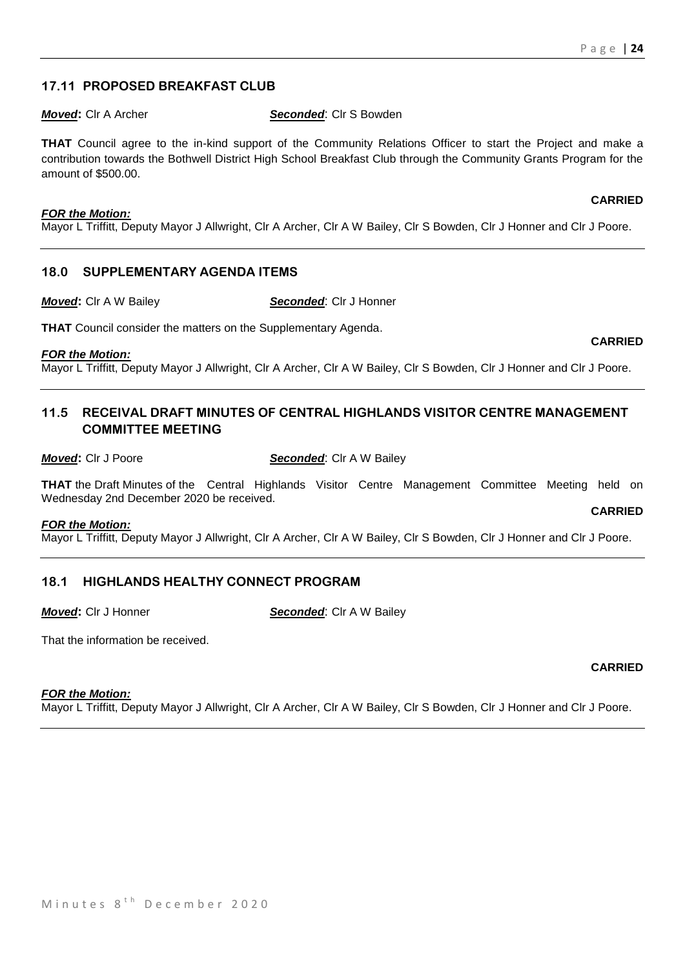# **17.11 PROPOSED BREAKFAST CLUB**

*Moved***:** Clr A Archer *Seconded*: Clr S Bowden

**THAT** Council agree to the in-kind support of the Community Relations Officer to start the Project and make a contribution towards the Bothwell District High School Breakfast Club through the Community Grants Program for the amount of \$500.00.

#### *FOR the Motion:*

Mayor L Triffitt, Deputy Mayor J Allwright, Clr A Archer, Clr A W Bailey, Clr S Bowden, Clr J Honner and Clr J Poore.

# **18.0 SUPPLEMENTARY AGENDA ITEMS**

*Moved***:** Clr A W Bailey *Seconded*: Clr J Honner

**THAT** Council consider the matters on the Supplementary Agenda.

#### *FOR the Motion:*

Mayor L Triffitt, Deputy Mayor J Allwright, Clr A Archer, Clr A W Bailey, Clr S Bowden, Clr J Honner and Clr J Poore.

# **11.5 RECEIVAL DRAFT MINUTES OF CENTRAL HIGHLANDS VISITOR CENTRE MANAGEMENT COMMITTEE MEETING**

*Moved***: Cir J Poore <b>Seconded:** Cir A W Bailey

**THAT** the Draft Minutes of the Central Highlands Visitor Centre Management Committee Meeting held on Wednesday 2nd December 2020 be received. **CARRIED**

#### *FOR the Motion:*

Mayor L Triffitt, Deputy Mayor J Allwright, Clr A Archer, Clr A W Bailey, Clr S Bowden, Clr J Honner and Clr J Poore.

# **18.1 HIGHLANDS HEALTHY CONNECT PROGRAM**

*Moved***:** Clr J Honner *Seconded*: Clr A W Bailey

That the information be received.

#### *FOR the Motion:*

Mayor L Triffitt, Deputy Mayor J Allwright, Clr A Archer, Clr A W Bailey, Clr S Bowden, Clr J Honner and Clr J Poore.

**CARRIED**

**CARRIED**